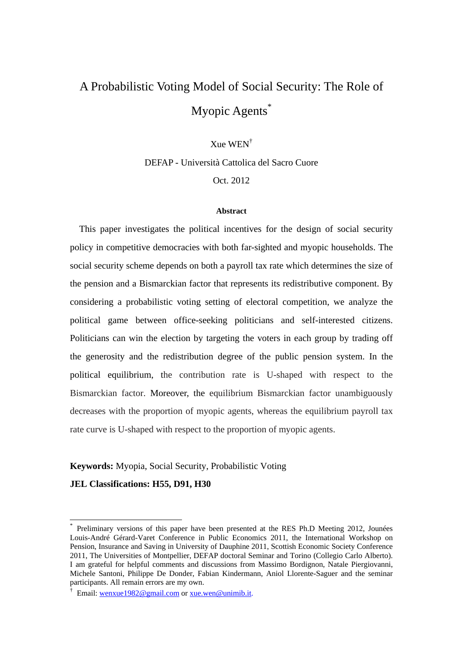# A Probabilistic Voting Model of Social Security: The Role of Myopic Agents<sup>\*</sup>

Xue WEN†

DEFAP - Università Cattolica del Sacro Cuore

Oct. 2012

#### **Abstract**

This paper investigates the political incentives for the design of social security policy in competitive democracies with both far-sighted and myopic households. The social security scheme depends on both a payroll tax rate which determines the size of the pension and a Bismarckian factor that represents its redistributive component. By considering a probabilistic voting setting of electoral competition, we analyze the political game between office-seeking politicians and self-interested citizens. Politicians can win the election by targeting the voters in each group by trading off the generosity and the redistribution degree of the public pension system. In the political equilibrium, the contribution rate is U-shaped with respect to the Bismarckian factor. Moreover, the equilibrium Bismarckian factor unambiguously decreases with the proportion of myopic agents, whereas the equilibrium payroll tax rate curve is U-shaped with respect to the proportion of myopic agents.

### **Keywords:** Myopia, Social Security, Probabilistic Voting

### **JEL Classifications: H55, D91, H30**

<u>.</u>

Preliminary versions of this paper have been presented at the RES Ph.D Meeting 2012, Jounées Louis-André Gérard-Varet Conference in Public Economics 2011, the International Workshop on Pension, Insurance and Saving in University of Dauphine 2011, Scottish Economic Society Conference 2011, The Universities of Montpellier, DEFAP doctoral Seminar and Torino (Collegio Carlo Alberto). I am grateful for helpful comments and discussions from Massimo Bordignon, Natale Piergiovanni, Michele Santoni, Philippe De Donder, Fabian Kindermann, Aniol Llorente-Saguer and the seminar participants. All remain errors are my own.

<sup>&</sup>lt;sup>†</sup> Email: wenxue1982@gmail.com or xue.wen@unimib.it.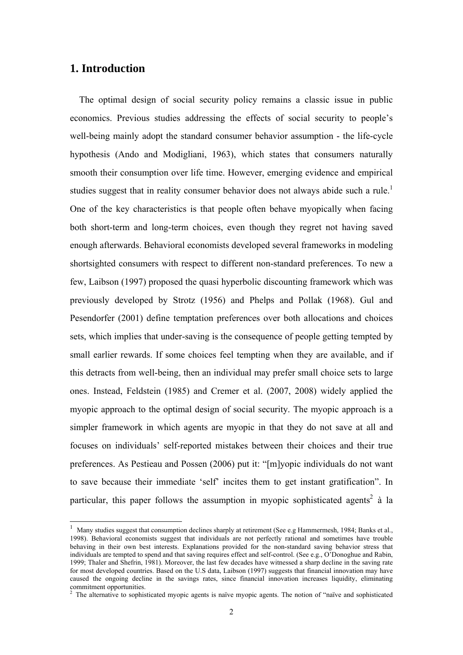# **1. Introduction**

<u>.</u>

The optimal design of social security policy remains a classic issue in public economics. Previous studies addressing the effects of social security to people's well-being mainly adopt the standard consumer behavior assumption - the life-cycle hypothesis (Ando and Modigliani, 1963), which states that consumers naturally smooth their consumption over life time. However, emerging evidence and empirical studies suggest that in reality consumer behavior does not always abide such a rule.<sup>1</sup> One of the key characteristics is that people often behave myopically when facing both short-term and long-term choices, even though they regret not having saved enough afterwards. Behavioral economists developed several frameworks in modeling shortsighted consumers with respect to different non-standard preferences. To new a few, Laibson (1997) proposed the quasi hyperbolic discounting framework which was previously developed by Strotz (1956) and Phelps and Pollak (1968). Gul and Pesendorfer (2001) define temptation preferences over both allocations and choices sets, which implies that under-saving is the consequence of people getting tempted by small earlier rewards. If some choices feel tempting when they are available, and if this detracts from well-being, then an individual may prefer small choice sets to large ones. Instead, Feldstein (1985) and Cremer et al. (2007, 2008) widely applied the myopic approach to the optimal design of social security. The myopic approach is a simpler framework in which agents are myopic in that they do not save at all and focuses on individuals' self-reported mistakes between their choices and their true preferences. As Pestieau and Possen (2006) put it: "[m]yopic individuals do not want to save because their immediate 'self' incites them to get instant gratification". In particular, this paper follows the assumption in myopic sophisticated agents<sup>2</sup> à la

<sup>&</sup>lt;sup>1</sup> Many studies suggest that consumption declines sharply at retirement (See e.g Hammermesh, 1984; Banks et al., 1998). Behavioral economists suggest that individuals are not perfectly rational and sometimes have trouble behaving in their own best interests. Explanations provided for the non-standard saving behavior stress that individuals are tempted to spend and that saving requires effect and self-control. (See e.g., O'Donoghue and Rabin, 1999; Thaler and Shefrin, 1981). Moreover, the last few decades have witnessed a sharp decline in the saving rate for most developed countries. Based on the U.S data, Laibson (1997) suggests that financial innovation may have caused the ongoing decline in the savings rates, since financial innovation increases liquidity, eliminating commitment opportunities.

<sup>&</sup>lt;sup>2</sup> The alternative to sophisticated myopic agents is naïve myopic agents. The notion of "naïve and sophisticated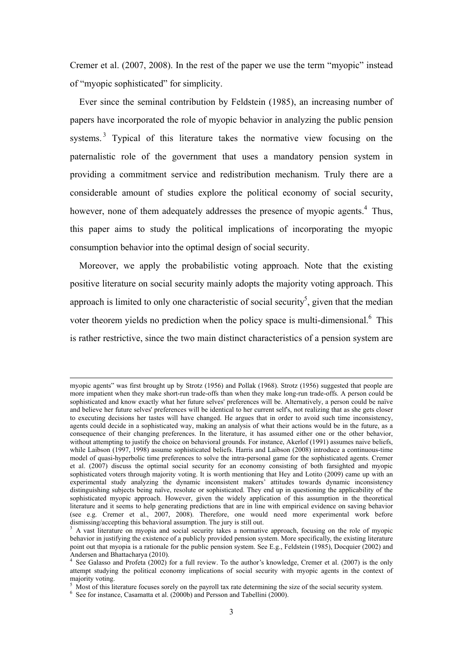Cremer et al. (2007, 2008). In the rest of the paper we use the term "myopic" instead of "myopic sophisticated" for simplicity.

Ever since the seminal contribution by Feldstein (1985), an increasing number of papers have incorporated the role of myopic behavior in analyzing the public pension systems.<sup>3</sup> Typical of this literature takes the normative view focusing on the paternalistic role of the government that uses a mandatory pension system in providing a commitment service and redistribution mechanism. Truly there are a considerable amount of studies explore the political economy of social security, however, none of them adequately addresses the presence of myopic agents.<sup>4</sup> Thus, this paper aims to study the political implications of incorporating the myopic consumption behavior into the optimal design of social security.

Moreover, we apply the probabilistic voting approach. Note that the existing positive literature on social security mainly adopts the majority voting approach. This approach is limited to only one characteristic of social security<sup>5</sup>, given that the median voter theorem yields no prediction when the policy space is multi-dimensional.<sup>6</sup> This is rather restrictive, since the two main distinct characteristics of a pension system are

<u>.</u>

myopic agents" was first brought up by Strotz (1956) and Pollak (1968). Strotz (1956) suggested that people are more impatient when they make short-run trade-offs than when they make long-run trade-offs. A person could be sophisticated and know exactly what her future selves' preferences will be. Alternatively, a person could be naïve and believe her future selves' preferences will be identical to her current self's, not realizing that as she gets closer to executing decisions her tastes will have changed. He argues that in order to avoid such time inconsistency, agents could decide in a sophisticated way, making an analysis of what their actions would be in the future, as a consequence of their changing preferences. In the literature, it has assumed either one or the other behavior, without attempting to justify the choice on behavioral grounds. For instance, Akerlof (1991) assumes naive beliefs, while Laibson (1997, 1998) assume sophisticated beliefs. Harris and Laibson (2008) introduce a continuous-time model of quasi-hyperbolic time preferences to solve the intra-personal game for the sophisticated agents. Cremer et al. (2007) discuss the optimal social security for an economy consisting of both farsighted and myopic sophisticated voters through majority voting. It is worth mentioning that Hey and Lotito (2009) came up with an experimental study analyzing the dynamic inconsistent makers' attitudes towards dynamic inconsistency distinguishing subjects being naïve, resolute or sophisticated. They end up in questioning the applicability of the sophisticated myopic approach. However, given the widely application of this assumption in the theoretical literature and it seems to help generating predictions that are in line with empirical evidence on saving behavior (see e.g. Cremer et al., 2007, 2008). Therefore, one would need more experimental work before dismissing/accepting this behavioral assumption. The jury is still out.

<sup>&</sup>lt;sup>3</sup> A vast literature on myopia and social security takes a normative approach, focusing on the role of myopic behavior in justifying the existence of a publicly provided pension system. More specifically, the existing literature point out that myopia is a rationale for the public pension system. See E.g., Feldstein (1985), Docquier (2002) and Andersen and Bhattacharya (2010). 4 See Galasso and Profeta (2002) for a full review. To the author's knowledge, Cremer et al. (2007) is the only

attempt studying the political economy implications of social security with myopic agents in the context of majority voting.

 $<sup>5</sup>$  Most of this literature focuses sorely on the payroll tax rate determining the size of the social security system.</sup>

<sup>6</sup> See for instance, Casamatta et al. (2000b) and Persson and Tabellini (2000).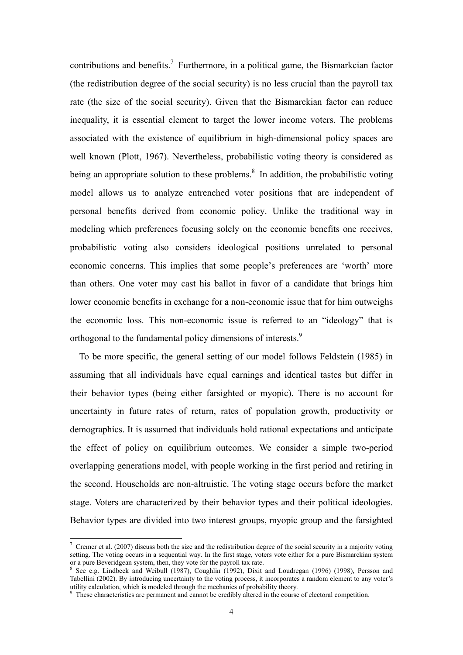contributions and benefits.<sup>7</sup> Furthermore, in a political game, the Bismarkcian factor (the redistribution degree of the social security) is no less crucial than the payroll tax rate (the size of the social security). Given that the Bismarckian factor can reduce inequality, it is essential element to target the lower income voters. The problems associated with the existence of equilibrium in high-dimensional policy spaces are well known (Plott, 1967). Nevertheless, probabilistic voting theory is considered as being an appropriate solution to these problems. $\delta$  In addition, the probabilistic voting model allows us to analyze entrenched voter positions that are independent of personal benefits derived from economic policy. Unlike the traditional way in modeling which preferences focusing solely on the economic benefits one receives, probabilistic voting also considers ideological positions unrelated to personal economic concerns. This implies that some people's preferences are 'worth' more than others. One voter may cast his ballot in favor of a candidate that brings him lower economic benefits in exchange for a non-economic issue that for him outweighs the economic loss. This non-economic issue is referred to an "ideology" that is orthogonal to the fundamental policy dimensions of interests.<sup>9</sup>

To be more specific, the general setting of our model follows Feldstein (1985) in assuming that all individuals have equal earnings and identical tastes but differ in their behavior types (being either farsighted or myopic). There is no account for uncertainty in future rates of return, rates of population growth, productivity or demographics. It is assumed that individuals hold rational expectations and anticipate the effect of policy on equilibrium outcomes. We consider a simple two-period overlapping generations model, with people working in the first period and retiring in the second. Households are non-altruistic. The voting stage occurs before the market stage. Voters are characterized by their behavior types and their political ideologies. Behavior types are divided into two interest groups, myopic group and the farsighted

<u>.</u>

<sup>&</sup>lt;sup>7</sup> Cremer et al. (2007) discuss both the size and the redistribution degree of the social security in a majority voting setting. The voting occurs in a sequential way. In the first stage, voters vote either for a pure Bismarckian system or a pure Beveridgean system, then, they vote for the payroll tax rate.

<sup>&</sup>lt;sup>8</sup> See e.g. Lindbeck and Weibull (1987), Coughlin (1992), Dixit and Loudregan (1996) (1998), Persson and Tabellini (2002). By introducing uncertainty to the voting process, it incorporates a random element to any voter's utility calculation, which is modeled through the mechanics of probability theory.

<sup>&</sup>lt;sup>9</sup> These characteristics are permanent and cannot be credibly altered in the course of electoral competition.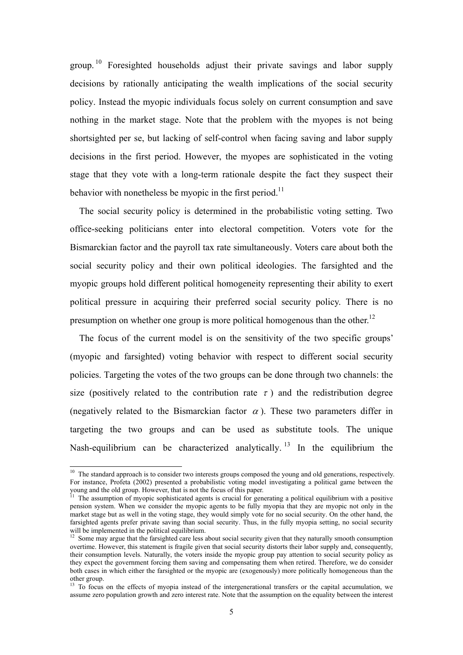group.  $10$  Foresighted households adjust their private savings and labor supply decisions by rationally anticipating the wealth implications of the social security policy. Instead the myopic individuals focus solely on current consumption and save nothing in the market stage. Note that the problem with the myopes is not being shortsighted per se, but lacking of self-control when facing saving and labor supply decisions in the first period. However, the myopes are sophisticated in the voting stage that they vote with a long-term rationale despite the fact they suspect their behavior with nonetheless be myopic in the first period.<sup>11</sup>

The social security policy is determined in the probabilistic voting setting. Two office-seeking politicians enter into electoral competition. Voters vote for the Bismarckian factor and the payroll tax rate simultaneously. Voters care about both the social security policy and their own political ideologies. The farsighted and the myopic groups hold different political homogeneity representing their ability to exert political pressure in acquiring their preferred social security policy. There is no presumption on whether one group is more political homogenous than the other.<sup>12</sup>

The focus of the current model is on the sensitivity of the two specific groups' (myopic and farsighted) voting behavior with respect to different social security policies. Targeting the votes of the two groups can be done through two channels: the size (positively related to the contribution rate  $\tau$ ) and the redistribution degree (negatively related to the Bismarckian factor  $\alpha$ ). These two parameters differ in targeting the two groups and can be used as substitute tools. The unique Nash-equilibrium can be characterized analytically.<sup>13</sup> In the equilibrium the

-

 $10$  The standard approach is to consider two interests groups composed the young and old generations, respectively. For instance, Profeta (2002) presented a probabilistic voting model investigating a political game between the young and the old group. However, that is not the focus of this paper.

<sup>&</sup>lt;sup>1</sup> The assumption of myopic sophisticated agents is crucial for generating a political equilibrium with a positive pension system. When we consider the myopic agents to be fully myopia that they are myopic not only in the market stage but as well in the voting stage, they would simply vote for no social security. On the other hand, the farsighted agents prefer private saving than social security. Thus, in the fully myopia setting, no social security will be implemented in the political equilibrium.

<sup>&</sup>lt;sup>12</sup> Some may argue that the farsighted care less about social security given that they naturally smooth consumption overtime. However, this statement is fragile given that social security distorts their labor supply and, consequently, their consumption levels. Naturally, the voters inside the myopic group pay attention to social security policy as they expect the government forcing them saving and compensating them when retired. Therefore, we do consider both cases in which either the farsighted or the myopic are (exogenously) more politically homogeneous than the other group.

<sup>&</sup>lt;sup>13</sup> To focus on the effects of myopia instead of the intergenerational transfers or the capital accumulation, we assume zero population growth and zero interest rate. Note that the assumption on the equality between the interest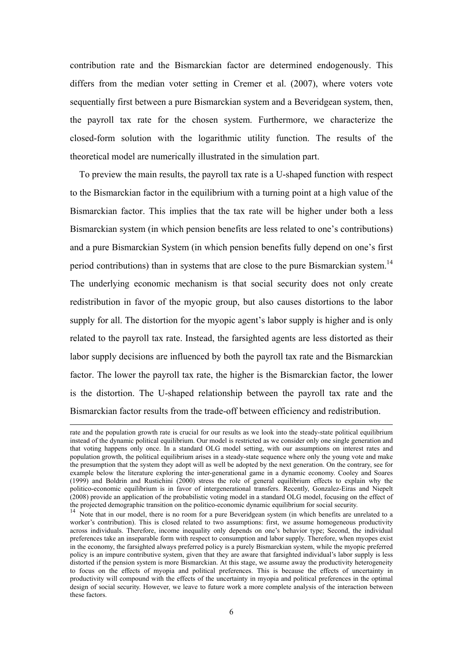contribution rate and the Bismarckian factor are determined endogenously. This differs from the median voter setting in Cremer et al. (2007), where voters vote sequentially first between a pure Bismarckian system and a Beveridgean system, then, the payroll tax rate for the chosen system. Furthermore, we characterize the closed-form solution with the logarithmic utility function. The results of the theoretical model are numerically illustrated in the simulation part.

To preview the main results, the payroll tax rate is a U-shaped function with respect to the Bismarckian factor in the equilibrium with a turning point at a high value of the Bismarckian factor. This implies that the tax rate will be higher under both a less Bismarckian system (in which pension benefits are less related to one's contributions) and a pure Bismarckian System (in which pension benefits fully depend on one's first period contributions) than in systems that are close to the pure Bismarckian system.<sup>14</sup> The underlying economic mechanism is that social security does not only create redistribution in favor of the myopic group, but also causes distortions to the labor supply for all. The distortion for the myopic agent's labor supply is higher and is only related to the payroll tax rate. Instead, the farsighted agents are less distorted as their labor supply decisions are influenced by both the payroll tax rate and the Bismarckian factor. The lower the payroll tax rate, the higher is the Bismarckian factor, the lower is the distortion. The U-shaped relationship between the payroll tax rate and the Bismarckian factor results from the trade-off between efficiency and redistribution.

<u>.</u>

rate and the population growth rate is crucial for our results as we look into the steady-state political equilibrium instead of the dynamic political equilibrium. Our model is restricted as we consider only one single generation and that voting happens only once. In a standard OLG model setting, with our assumptions on interest rates and population growth, the political equilibrium arises in a steady-state sequence where only the young vote and make the presumption that the system they adopt will as well be adopted by the next generation. On the contrary, see for example below the literature exploring the inter-generational game in a dynamic economy. Cooley and Soares (1999) and Boldrin and Rustichini (2000) stress the role of general equilibrium effects to explain why the politico-economic equilibrium is in favor of intergenerational transfers. Recently, Gonzalez-Eiras and Niepelt (2008) provide an application of the probabilistic voting model in a standard OLG model, focusing on the effect of the projected demographic transition on the politico-economic dynamic equilibrium for social security.

<sup>&</sup>lt;sup>14</sup> Note that in our model, there is no room for a pure Beveridgean system (in which benefits are unrelated to a worker's contribution). This is closed related to two assumptions: first, we assume homogeneous productivity across individuals. Therefore, income inequality only depends on one's behavior type; Second, the individual preferences take an inseparable form with respect to consumption and labor supply. Therefore, when myopes exist in the economy, the farsighted always preferred policy is a purely Bismarckian system, while the myopic preferred policy is an impure contributive system, given that they are aware that farsighted individual's labor supply is less distorted if the pension system is more Bismarckian. At this stage, we assume away the productivity heterogeneity to focus on the effects of myopia and political preferences. This is because the effects of uncertainty in productivity will compound with the effects of the uncertainty in myopia and political preferences in the optimal design of social security. However, we leave to future work a more complete analysis of the interaction between these factors.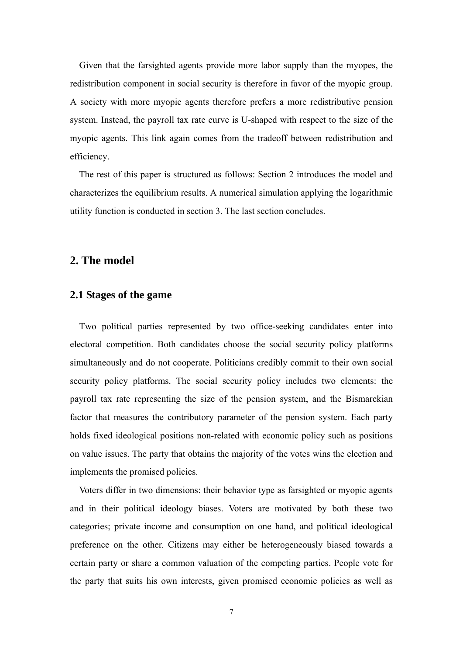Given that the farsighted agents provide more labor supply than the myopes, the redistribution component in social security is therefore in favor of the myopic group. A society with more myopic agents therefore prefers a more redistributive pension system. Instead, the payroll tax rate curve is U-shaped with respect to the size of the myopic agents. This link again comes from the tradeoff between redistribution and efficiency.

The rest of this paper is structured as follows: Section 2 introduces the model and characterizes the equilibrium results. A numerical simulation applying the logarithmic utility function is conducted in section 3. The last section concludes.

# **2. The model**

### **2.1 Stages of the game**

Two political parties represented by two office-seeking candidates enter into electoral competition. Both candidates choose the social security policy platforms simultaneously and do not cooperate. Politicians credibly commit to their own social security policy platforms. The social security policy includes two elements: the payroll tax rate representing the size of the pension system, and the Bismarckian factor that measures the contributory parameter of the pension system. Each party holds fixed ideological positions non-related with economic policy such as positions on value issues. The party that obtains the majority of the votes wins the election and implements the promised policies.

Voters differ in two dimensions: their behavior type as farsighted or myopic agents and in their political ideology biases. Voters are motivated by both these two categories; private income and consumption on one hand, and political ideological preference on the other. Citizens may either be heterogeneously biased towards a certain party or share a common valuation of the competing parties. People vote for the party that suits his own interests, given promised economic policies as well as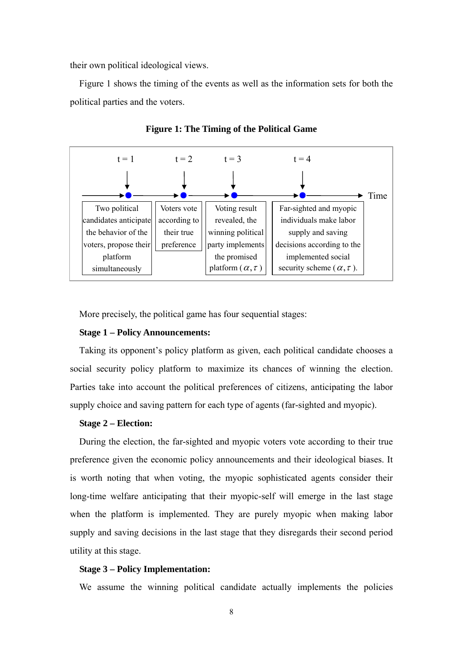their own political ideological views.

Figure 1 shows the timing of the events as well as the information sets for both the political parties and the voters.



**Figure 1: The Timing of the Political Game** 

More precisely, the political game has four sequential stages:

### **Stage 1 – Policy Announcements:**

Taking its opponent's policy platform as given, each political candidate chooses a social security policy platform to maximize its chances of winning the election. Parties take into account the political preferences of citizens, anticipating the labor supply choice and saving pattern for each type of agents (far-sighted and myopic).

### **Stage 2 – Election:**

During the election, the far-sighted and myopic voters vote according to their true preference given the economic policy announcements and their ideological biases. It is worth noting that when voting, the myopic sophisticated agents consider their long-time welfare anticipating that their myopic-self will emerge in the last stage when the platform is implemented. They are purely myopic when making labor supply and saving decisions in the last stage that they disregards their second period utility at this stage.

#### **Stage 3 – Policy Implementation:**

We assume the winning political candidate actually implements the policies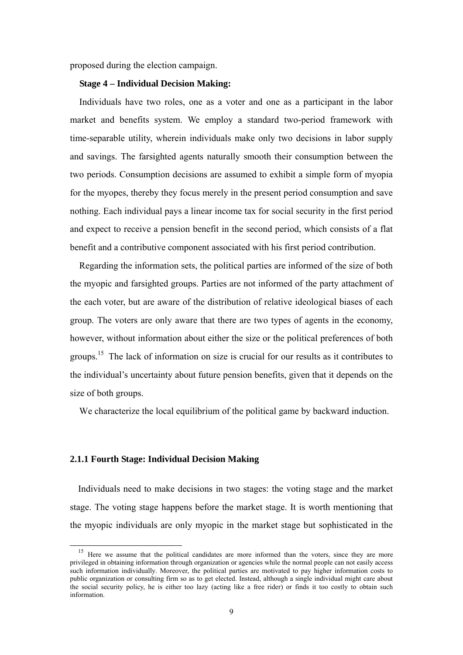proposed during the election campaign.

### **Stage 4 – Individual Decision Making:**

Individuals have two roles, one as a voter and one as a participant in the labor market and benefits system. We employ a standard two-period framework with time-separable utility, wherein individuals make only two decisions in labor supply and savings. The farsighted agents naturally smooth their consumption between the two periods. Consumption decisions are assumed to exhibit a simple form of myopia for the myopes, thereby they focus merely in the present period consumption and save nothing. Each individual pays a linear income tax for social security in the first period and expect to receive a pension benefit in the second period, which consists of a flat benefit and a contributive component associated with his first period contribution.

Regarding the information sets, the political parties are informed of the size of both the myopic and farsighted groups. Parties are not informed of the party attachment of the each voter, but are aware of the distribution of relative ideological biases of each group. The voters are only aware that there are two types of agents in the economy, however, without information about either the size or the political preferences of both groups.15 The lack of information on size is crucial for our results as it contributes to the individual's uncertainty about future pension benefits, given that it depends on the size of both groups.

We characterize the local equilibrium of the political game by backward induction.

### **2.1.1 Fourth Stage: Individual Decision Making**

Individuals need to make decisions in two stages: the voting stage and the market stage. The voting stage happens before the market stage. It is worth mentioning that the myopic individuals are only myopic in the market stage but sophisticated in the

<sup>&</sup>lt;sup>15</sup> Here we assume that the political candidates are more informed than the voters, since they are more privileged in obtaining information through organization or agencies while the normal people can not easily access such information individually. Moreover, the political parties are motivated to pay higher information costs to public organization or consulting firm so as to get elected. Instead, although a single individual might care about the social security policy, he is either too lazy (acting like a free rider) or finds it too costly to obtain such information.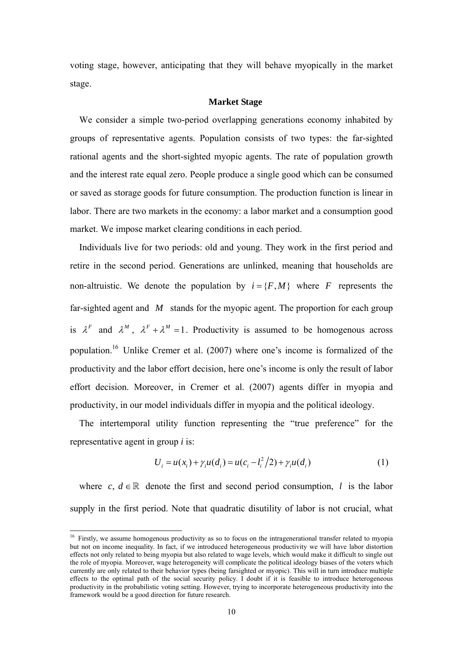voting stage, however, anticipating that they will behave myopically in the market stage.

### **Market Stage**

We consider a simple two-period overlapping generations economy inhabited by groups of representative agents. Population consists of two types: the far-sighted rational agents and the short-sighted myopic agents. The rate of population growth and the interest rate equal zero. People produce a single good which can be consumed or saved as storage goods for future consumption. The production function is linear in labor. There are two markets in the economy: a labor market and a consumption good market. We impose market clearing conditions in each period.

Individuals live for two periods: old and young. They work in the first period and retire in the second period. Generations are unlinked, meaning that households are non-altruistic. We denote the population by  $i = \{F, M\}$  where *F* represents the far-sighted agent and *M* stands for the myopic agent. The proportion for each group is  $\lambda^F$  and  $\lambda^M$ ,  $\lambda^F + \lambda^M = 1$ . Productivity is assumed to be homogenous across population.16 Unlike Cremer et al. (2007) where one's income is formalized of the productivity and the labor effort decision, here one's income is only the result of labor effort decision. Moreover, in Cremer et al. (2007) agents differ in myopia and productivity, in our model individuals differ in myopia and the political ideology.

The intertemporal utility function representing the "true preference" for the representative agent in group *i* is:

$$
U_i = u(x_i) + \gamma_i u(d_i) = u(c_i - l_i^2/2) + \gamma_i u(d_i)
$$
 (1)

where *c*,  $d \in \mathbb{R}$  denote the first and second period consumption, *l* is the labor supply in the first period. Note that quadratic disutility of labor is not crucial, what

-

<sup>&</sup>lt;sup>16</sup> Firstly, we assume homogenous productivity as so to focus on the intragenerational transfer related to myopia but not on income inequality. In fact, if we introduced heterogeneous productivity we will have labor distortion effects not only related to being myopia but also related to wage levels, which would make it difficult to single out the role of myopia. Moreover, wage heterogeneity will complicate the political ideology biases of the voters which currently are only related to their behavior types (being farsighted or myopic). This will in turn introduce multiple effects to the optimal path of the social security policy. I doubt if it is feasible to introduce heterogeneous productivity in the probabilistic voting setting. However, trying to incorporate heterogeneous productivity into the framework would be a good direction for future research.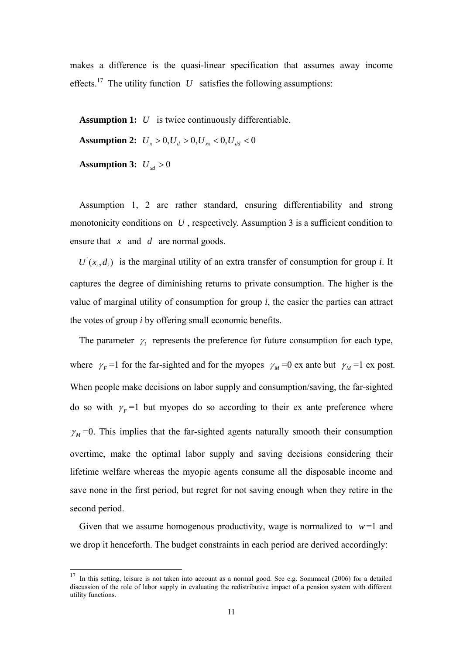makes a difference is the quasi-linear specification that assumes away income effects.<sup>17</sup> The utility function *U* satisfies the following assumptions:

**Assumption 1:** *U* is twice continuously differentiable.

**Assumption 2:**  $U_x > 0, U_d > 0, U_{xx} < 0, U_{dd} < 0$ 

**Assumption 3:**  $U_{xd} > 0$ 

-

Assumption 1, 2 are rather standard, ensuring differentiability and strong monotonicity conditions on *U*, respectively. Assumption 3 is a sufficient condition to ensure that *x* and *d* are normal goods.

 $U'(x_i, d_i)$  is the marginal utility of an extra transfer of consumption for group *i*. It captures the degree of diminishing returns to private consumption. The higher is the value of marginal utility of consumption for group *i*, the easier the parties can attract the votes of group *i* by offering small economic benefits.

The parameter  $\gamma_i$  represents the preference for future consumption for each type, where  $\gamma_F = 1$  for the far-sighted and for the myopes  $\gamma_M = 0$  ex ante but  $\gamma_M = 1$  ex post. When people make decisions on labor supply and consumption/saving, the far-sighted do so with  $\gamma_F$ =1 but myopes do so according to their ex ante preference where  $\gamma_M$  =0. This implies that the far-sighted agents naturally smooth their consumption overtime, make the optimal labor supply and saving decisions considering their lifetime welfare whereas the myopic agents consume all the disposable income and save none in the first period, but regret for not saving enough when they retire in the second period.

Given that we assume homogenous productivity, wage is normalized to  $w=1$  and we drop it henceforth. The budget constraints in each period are derived accordingly:

 $17$  In this setting, leisure is not taken into account as a normal good. See e.g. Sommacal (2006) for a detailed discussion of the role of labor supply in evaluating the redistributive impact of a pension system with different utility functions.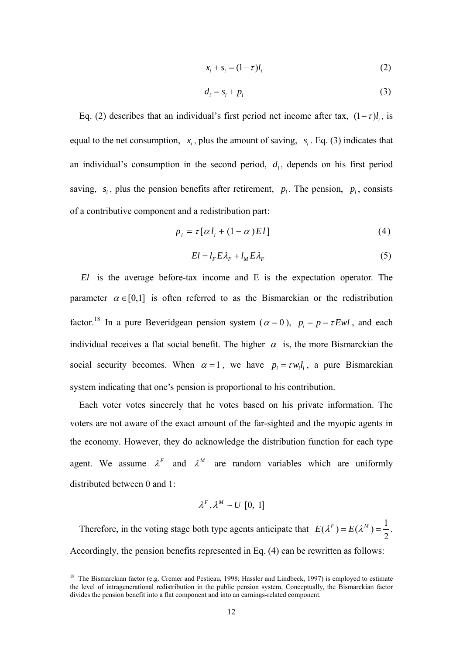$$
x_i + s_i = (1 - \tau)l_i \tag{2}
$$

$$
d_i = s_i + p_i \tag{3}
$$

Eq. (2) describes that an individual's first period net income after tax,  $(1 - \tau)l_i$ , is equal to the net consumption,  $x_i$ , plus the amount of saving,  $s_i$ . Eq. (3) indicates that an individual's consumption in the second period,  $d_i$ , depends on his first period saving,  $s_i$ , plus the pension benefits after retirement,  $p_i$ . The pension,  $p_i$ , consists of a contributive component and a redistribution part:

$$
p_i = \tau[\alpha l_i + (1 - \alpha)EI] \tag{4}
$$

$$
El = l_F E \lambda_F + l_M E \lambda_F \tag{5}
$$

*El* is the average before-tax income and E is the expectation operator. The parameter  $\alpha \in [0,1]$  is often referred to as the Bismarckian or the redistribution factor.<sup>18</sup> In a pure Beveridgean pension system ( $\alpha = 0$ ),  $p_i = p = \tau Ewl$ , and each individual receives a flat social benefit. The higher  $\alpha$  is, the more Bismarckian the social security becomes. When  $\alpha = 1$ , we have  $p_i = \tau w_i l_i$ , a pure Bismarckian system indicating that one's pension is proportional to his contribution.

Each voter votes sincerely that he votes based on his private information. The voters are not aware of the exact amount of the far-sighted and the myopic agents in the economy. However, they do acknowledge the distribution function for each type agent. We assume  $\lambda^F$  and  $\lambda^M$  are random variables which are uniformly distributed between 0 and 1:

$$
\lambda^F, \lambda^M \sim U[0, 1]
$$

Therefore, in the voting stage both type agents anticipate that  $E(\lambda^F) = E(\lambda^M) = \frac{1}{2}$ . Accordingly, the pension benefits represented in Eq. (4) can be rewritten as follows:

-

<sup>&</sup>lt;sup>18</sup> The Bismarckian factor (e.g. Cremer and Pestieau, 1998; Hassler and Lindbeck, 1997) is employed to estimate the level of intragenerational redistribution in the public pension system, Conceptually, the Bismarckian factor divides the pension benefit into a flat component and into an earnings-related component.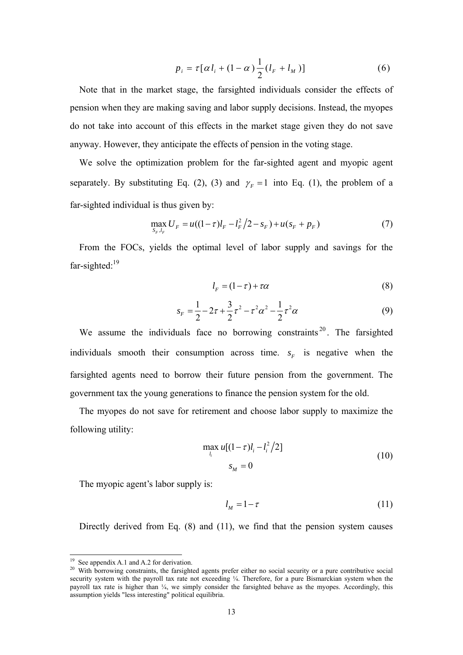$$
p_i = \tau[\alpha l_i + (1 - \alpha) \frac{1}{2} (l_F + l_M)] \tag{6}
$$

Note that in the market stage, the farsighted individuals consider the effects of pension when they are making saving and labor supply decisions. Instead, the myopes do not take into account of this effects in the market stage given they do not save anyway. However, they anticipate the effects of pension in the voting stage.

We solve the optimization problem for the far-sighted agent and myopic agent separately. By substituting Eq. (2), (3) and  $\gamma_F = 1$  into Eq. (1), the problem of a far-sighted individual is thus given by:

$$
\max_{S_F, l_F} U_F = u((1-\tau)l_F - l_F^2/2 - s_F) + u(s_F + p_F)
$$
\n(7)

From the FOCs, yields the optimal level of labor supply and savings for the far-sighted: $19$ 

$$
l_F = (1 - \tau) + \tau \alpha \tag{8}
$$

$$
s_F = \frac{1}{2} - 2\tau + \frac{3}{2}\tau^2 - \tau^2\alpha^2 - \frac{1}{2}\tau^2\alpha
$$
 (9)

We assume the individuals face no borrowing constraints  $20$ . The farsighted individuals smooth their consumption across time.  $s<sub>F</sub>$  is negative when the farsighted agents need to borrow their future pension from the government. The government tax the young generations to finance the pension system for the old.

The myopes do not save for retirement and choose labor supply to maximize the following utility:

$$
\max_{l_i} u[(1-\tau)l_i - l_i^2/2] s_M = 0
$$
\n(10)

The myopic agent's labor supply is:

$$
l_M = 1 - \tau \tag{11}
$$

Directly derived from Eq. (8) and (11), we find that the pension system causes

<u>.</u>

<sup>&</sup>lt;sup>19</sup> See appendix A.1 and A.2 for derivation.

<sup>&</sup>lt;sup>20</sup> With borrowing constraints, the farsighted agents prefer either no social security or a pure contributive social security system with the payroll tax rate not exceeding ¼. Therefore, for a pure Bismarckian system when the payroll tax rate is higher than ¼, we simply consider the farsighted behave as the myopes. Accordingly, this assumption yields "less interesting" political equilibria.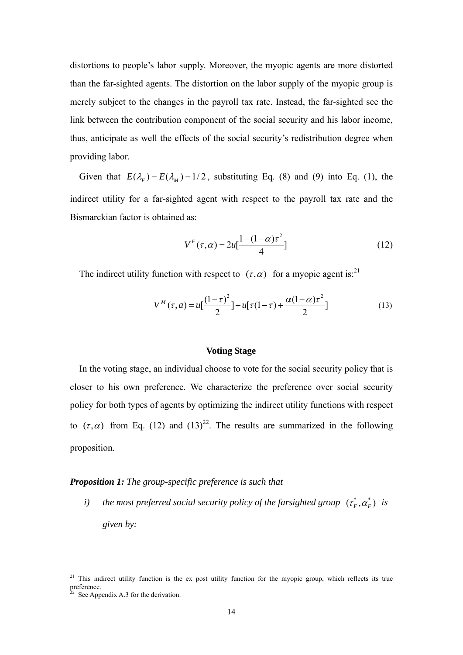distortions to people's labor supply. Moreover, the myopic agents are more distorted than the far-sighted agents. The distortion on the labor supply of the myopic group is merely subject to the changes in the payroll tax rate. Instead, the far-sighted see the link between the contribution component of the social security and his labor income, thus, anticipate as well the effects of the social security's redistribution degree when providing labor.

Given that  $E(\lambda_F) = E(\lambda_M) = 1/2$ , substituting Eq. (8) and (9) into Eq. (1), the indirect utility for a far-sighted agent with respect to the payroll tax rate and the Bismarckian factor is obtained as:

$$
V^{F}(\tau,\alpha) = 2u[\frac{1 - (1 - \alpha)\tau^{2}}{4}]
$$
 (12)

The indirect utility function with respect to  $(\tau, \alpha)$  for a myopic agent is:<sup>21</sup>

$$
V^{M}(\tau, a) = u \left[ \frac{(1-\tau)^{2}}{2} \right] + u[\tau(1-\tau) + \frac{\alpha(1-\alpha)\tau^{2}}{2}]
$$
 (13)

### **Voting Stage**

In the voting stage, an individual choose to vote for the social security policy that is closer to his own preference. We characterize the preference over social security policy for both types of agents by optimizing the indirect utility functions with respect to  $(\tau, \alpha)$  from Eq. (12) and (13)<sup>22</sup>. The results are summarized in the following proposition.

### *Proposition 1: The group-specific preference is such that*

*i*) the most preferred social security policy of the farsighted group  $(\tau_F^*, \alpha_F^*)$  is *given by:* 

-

 $21$  This indirect utility function is the ex post utility function for the myopic group, which reflects its true preference.

 $2^2$  See Appendix A.3 for the derivation.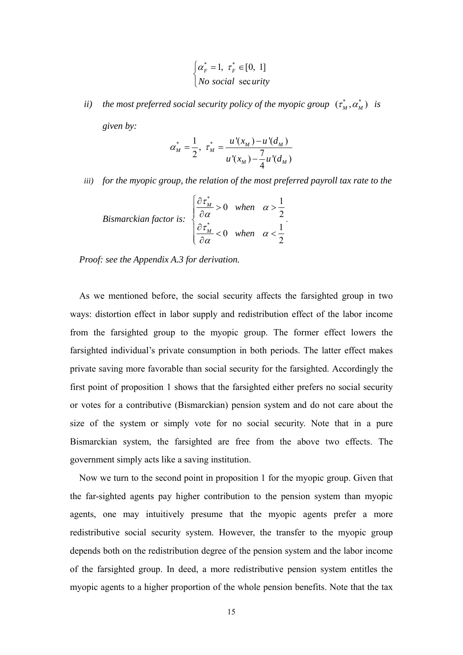$$
\begin{cases} \alpha_F^* = 1, & \tau_F^* \in [0, 1] \\ No \text{ social } \sec \text{urity} \end{cases}
$$

*ii*) *the most preferred social security policy of the myopic group*  $(\tau_M^*, \alpha_M^*)$  *is given by:* 

$$
\alpha_M^* = \frac{1}{2}, \ \tau_M^* = \frac{u'(x_M) - u'(d_M)}{u'(x_M) - \frac{7}{4}u'(d_M)}
$$

*iii) for the myopic group, the relation of the most preferred payroll tax rate to the*

Bismarckian factor is: 
$$
\begin{cases} \frac{\partial \tau_M^*}{\partial \alpha} > 0 & \text{when } \alpha > \frac{1}{2} \\ \frac{\partial \tau_M^*}{\partial \alpha} < 0 & \text{when } \alpha < \frac{1}{2} \end{cases}
$$
.

*Proof: see the Appendix A.3 for derivation.* 

As we mentioned before, the social security affects the farsighted group in two ways: distortion effect in labor supply and redistribution effect of the labor income from the farsighted group to the myopic group. The former effect lowers the farsighted individual's private consumption in both periods. The latter effect makes private saving more favorable than social security for the farsighted. Accordingly the first point of proposition 1 shows that the farsighted either prefers no social security or votes for a contributive (Bismarckian) pension system and do not care about the size of the system or simply vote for no social security. Note that in a pure Bismarckian system, the farsighted are free from the above two effects. The government simply acts like a saving institution.

Now we turn to the second point in proposition 1 for the myopic group. Given that the far-sighted agents pay higher contribution to the pension system than myopic agents, one may intuitively presume that the myopic agents prefer a more redistributive social security system. However, the transfer to the myopic group depends both on the redistribution degree of the pension system and the labor income of the farsighted group. In deed, a more redistributive pension system entitles the myopic agents to a higher proportion of the whole pension benefits. Note that the tax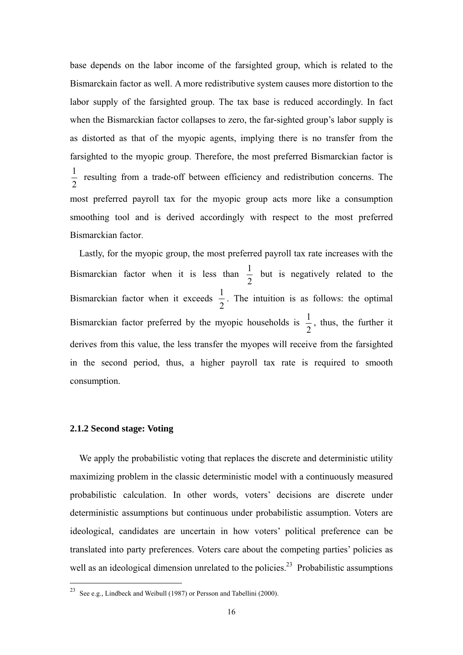base depends on the labor income of the farsighted group, which is related to the Bismarckain factor as well. A more redistributive system causes more distortion to the labor supply of the farsighted group. The tax base is reduced accordingly. In fact when the Bismarckian factor collapses to zero, the far-sighted group's labor supply is as distorted as that of the myopic agents, implying there is no transfer from the farsighted to the myopic group. Therefore, the most preferred Bismarckian factor is 1 2 resulting from a trade-off between efficiency and redistribution concerns. The most preferred payroll tax for the myopic group acts more like a consumption smoothing tool and is derived accordingly with respect to the most preferred Bismarckian factor.

Lastly, for the myopic group, the most preferred payroll tax rate increases with the Bismarckian factor when it is less than  $\frac{1}{2}$ 2 but is negatively related to the Bismarckian factor when it exceeds  $\frac{1}{2}$ 2 . The intuition is as follows: the optimal Bismarckian factor preferred by the myopic households is  $\frac{1}{2}$ 2 , thus, the further it derives from this value, the less transfer the myopes will receive from the farsighted in the second period, thus, a higher payroll tax rate is required to smooth consumption.

### **2.1.2 Second stage: Voting**

-

We apply the probabilistic voting that replaces the discrete and deterministic utility maximizing problem in the classic deterministic model with a continuously measured probabilistic calculation. In other words, voters' decisions are discrete under deterministic assumptions but continuous under probabilistic assumption. Voters are ideological, candidates are uncertain in how voters' political preference can be translated into party preferences. Voters care about the competing parties' policies as well as an ideological dimension unrelated to the policies.<sup>23</sup> Probabilistic assumptions

<sup>&</sup>lt;sup>23</sup> See e.g., Lindbeck and Weibull (1987) or Persson and Tabellini (2000).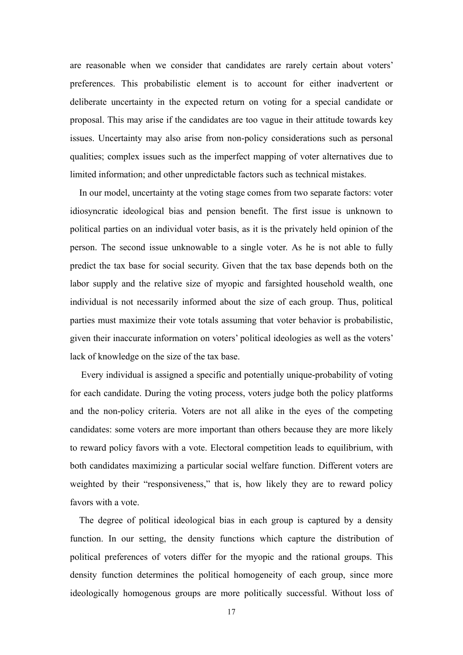are reasonable when we consider that candidates are rarely certain about voters' preferences. This probabilistic element is to account for either inadvertent or deliberate uncertainty in the expected return on voting for a special candidate or proposal. This may arise if the candidates are too vague in their attitude towards key issues. Uncertainty may also arise from non-policy considerations such as personal qualities; complex issues such as the imperfect mapping of voter alternatives due to limited information; and other unpredictable factors such as technical mistakes.

In our model, uncertainty at the voting stage comes from two separate factors: voter idiosyncratic ideological bias and pension benefit. The first issue is unknown to political parties on an individual voter basis, as it is the privately held opinion of the person. The second issue unknowable to a single voter. As he is not able to fully predict the tax base for social security. Given that the tax base depends both on the labor supply and the relative size of myopic and farsighted household wealth, one individual is not necessarily informed about the size of each group. Thus, political parties must maximize their vote totals assuming that voter behavior is probabilistic, given their inaccurate information on voters' political ideologies as well as the voters' lack of knowledge on the size of the tax base.

Every individual is assigned a specific and potentially unique-probability of voting for each candidate. During the voting process, voters judge both the policy platforms and the non-policy criteria. Voters are not all alike in the eyes of the competing candidates: some voters are more important than others because they are more likely to reward policy favors with a vote. Electoral competition leads to equilibrium, with both candidates maximizing a particular social welfare function. Different voters are weighted by their "responsiveness," that is, how likely they are to reward policy favors with a vote.

The degree of political ideological bias in each group is captured by a density function. In our setting, the density functions which capture the distribution of political preferences of voters differ for the myopic and the rational groups. This density function determines the political homogeneity of each group, since more ideologically homogenous groups are more politically successful. Without loss of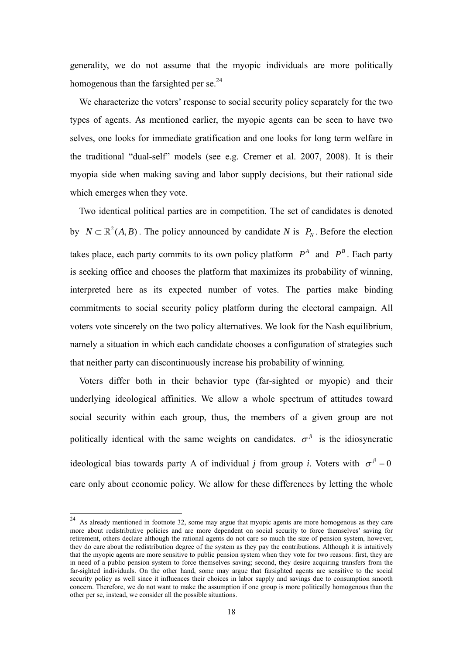generality, we do not assume that the myopic individuals are more politically homogenous than the farsighted per se. $24$ 

We characterize the voters' response to social security policy separately for the two types of agents. As mentioned earlier, the myopic agents can be seen to have two selves, one looks for immediate gratification and one looks for long term welfare in the traditional "dual-self" models (see e.g. Cremer et al. 2007, 2008). It is their myopia side when making saving and labor supply decisions, but their rational side which emerges when they vote.

Two identical political parties are in competition. The set of candidates is denoted by  $N \subset \mathbb{R}^2(A, B)$ . The policy announced by candidate *N* is  $P_N$ . Before the election takes place, each party commits to its own policy platform  $P^A$  and  $P^B$ . Each party is seeking office and chooses the platform that maximizes its probability of winning, interpreted here as its expected number of votes. The parties make binding commitments to social security policy platform during the electoral campaign. All voters vote sincerely on the two policy alternatives. We look for the Nash equilibrium, namely a situation in which each candidate chooses a configuration of strategies such that neither party can discontinuously increase his probability of winning.

Voters differ both in their behavior type (far-sighted or myopic) and their underlying ideological affinities. We allow a whole spectrum of attitudes toward social security within each group, thus, the members of a given group are not politically identical with the same weights on candidates.  $\sigma^{ji}$  is the idiosyncratic ideological bias towards party A of individual *j* from group *i*. Voters with  $\sigma^{ji} = 0$ care only about economic policy. We allow for these differences by letting the whole

-

 $24$  As already mentioned in footnote 32, some may argue that myopic agents are more homogenous as they care more about redistributive policies and are more dependent on social security to force themselves' saving for retirement, others declare although the rational agents do not care so much the size of pension system, however, they do care about the redistribution degree of the system as they pay the contributions. Although it is intuitively that the myopic agents are more sensitive to public pension system when they vote for two reasons: first, they are in need of a public pension system to force themselves saving; second, they desire acquiring transfers from the far-sighted individuals. On the other hand, some may argue that farsighted agents are sensitive to the social security policy as well since it influences their choices in labor supply and savings due to consumption smooth concern. Therefore, we do not want to make the assumption if one group is more politically homogenous than the other per se, instead, we consider all the possible situations.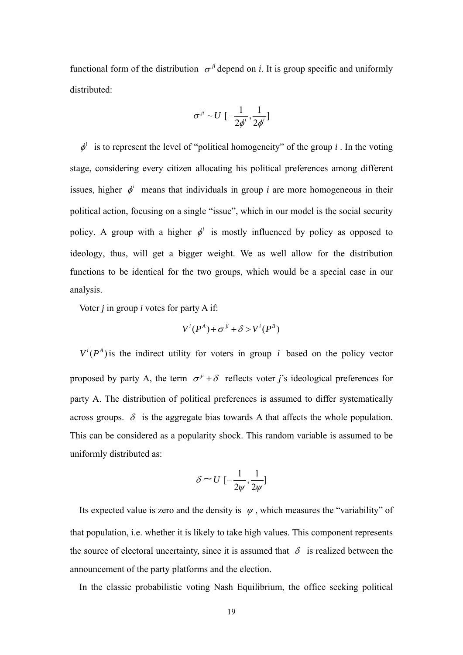functional form of the distribution  $\sigma^{ji}$  depend on *i*. It is group specific and uniformly distributed:

$$
\sigma^{ji} \sim U\;[-\frac{1}{2\phi^i},\frac{1}{2\phi^i}]
$$

 $\phi^i$  is to represent the level of "political homogeneity" of the group *i*. In the voting stage, considering every citizen allocating his political preferences among different issues, higher  $\phi^i$  means that individuals in group *i* are more homogeneous in their political action, focusing on a single "issue", which in our model is the social security policy. A group with a higher  $\phi^i$  is mostly influenced by policy as opposed to ideology, thus, will get a bigger weight. We as well allow for the distribution functions to be identical for the two groups, which would be a special case in our analysis.

Voter *j* in group *i* votes for party A if:

$$
V^{i}(P^{A})+\sigma^{ji}+\delta>V^{i}(P^{B})
$$

 $V^{i}(P^{A})$  is the indirect utility for voters in group *i* based on the policy vector proposed by party A, the term  $\sigma^{ji} + \delta$  reflects voter *j*'s ideological preferences for party A. The distribution of political preferences is assumed to differ systematically across groups.  $\delta$  is the aggregate bias towards A that affects the whole population. This can be considered as a popularity shock. This random variable is assumed to be uniformly distributed as:

$$
\delta \sim U\left[-\frac{1}{2\psi}, \frac{1}{2\psi}\right]
$$

Its expected value is zero and the density is  $\psi$ , which measures the "variability" of that population, i.e. whether it is likely to take high values. This component represents the source of electoral uncertainty, since it is assumed that  $\delta$  is realized between the announcement of the party platforms and the election.

In the classic probabilistic voting Nash Equilibrium, the office seeking political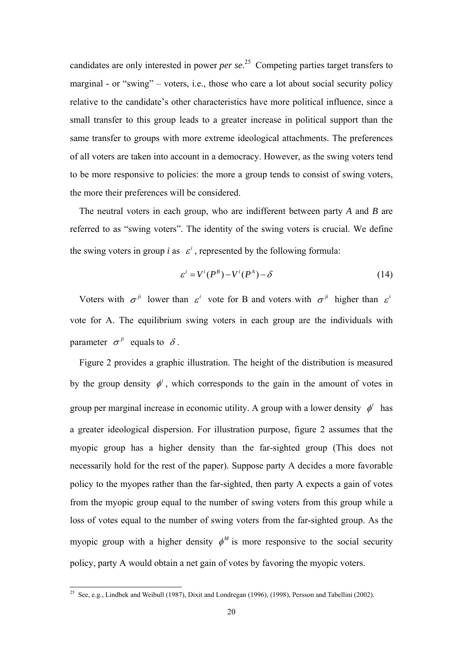candidates are only interested in power *per se*. 25 Competing parties target transfers to marginal - or "swing" – voters, i.e., those who care a lot about social security policy relative to the candidate's other characteristics have more political influence, since a small transfer to this group leads to a greater increase in political support than the same transfer to groups with more extreme ideological attachments. The preferences of all voters are taken into account in a democracy. However, as the swing voters tend to be more responsive to policies: the more a group tends to consist of swing voters, the more their preferences will be considered.

The neutral voters in each group, who are indifferent between party *A* and *B* are referred to as "swing voters". The identity of the swing voters is crucial. We define the swing voters in group *i* as  $\varepsilon^{i}$ , represented by the following formula:

$$
\varepsilon^{i} = V^{i}(P^{B}) - V^{i}(P^{A}) - \delta
$$
\n(14)

Voters with  $\sigma^{ji}$  lower than  $\varepsilon^{i}$  vote for B and voters with  $\sigma^{ji}$  higher than  $\varepsilon^{i}$ vote for A. The equilibrium swing voters in each group are the individuals with parameter  $\sigma^{ji}$  equals to  $\delta$ .

Figure 2 provides a graphic illustration. The height of the distribution is measured by the group density  $\phi^i$ , which corresponds to the gain in the amount of votes in group per marginal increase in economic utility. A group with a lower density  $\phi^i$  has a greater ideological dispersion. For illustration purpose, figure 2 assumes that the myopic group has a higher density than the far-sighted group (This does not necessarily hold for the rest of the paper). Suppose party A decides a more favorable policy to the myopes rather than the far-sighted, then party A expects a gain of votes from the myopic group equal to the number of swing voters from this group while a loss of votes equal to the number of swing voters from the far-sighted group. As the myopic group with a higher density  $\phi^M$  is more responsive to the social security policy, party A would obtain a net gain of votes by favoring the myopic voters.

-

<sup>&</sup>lt;sup>25</sup> See, e.g., Lindbek and Weibull (1987), Dixit and Londregan (1996), (1998), Persson and Tabellini (2002).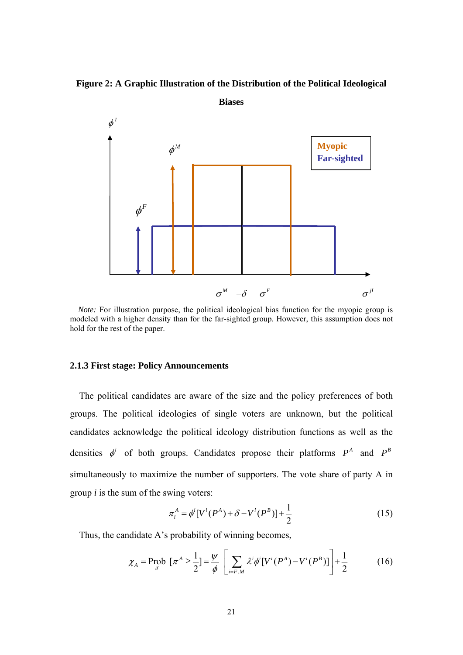**Figure 2: A Graphic Illustration of the Distribution of the Political Ideological** 



*Note:* For illustration purpose, the political ideological bias function for the myopic group is modeled with a higher density than for the far-sighted group. However, this assumption does not hold for the rest of the paper.

### **2.1.3 First stage: Policy Announcements**

The political candidates are aware of the size and the policy preferences of both groups. The political ideologies of single voters are unknown, but the political candidates acknowledge the political ideology distribution functions as well as the densities  $\phi^i$  of both groups. Candidates propose their platforms  $P^A$  and  $P^B$ simultaneously to maximize the number of supporters. The vote share of party A in group *i* is the sum of the swing voters:

$$
\pi_i^A = \phi^i [V^i (P^A) + \delta - V^i (P^B)] + \frac{1}{2}
$$
 (15)

Thus, the candidate A's probability of winning becomes,

$$
\chi_A = \text{Prob} \left[ \pi^A \ge \frac{1}{2} \right] = \frac{\psi}{\phi} \left[ \sum_{i=F,M} \lambda^i \phi^i [V^i (P^A) - V^i (P^B)] \right] + \frac{1}{2} \tag{16}
$$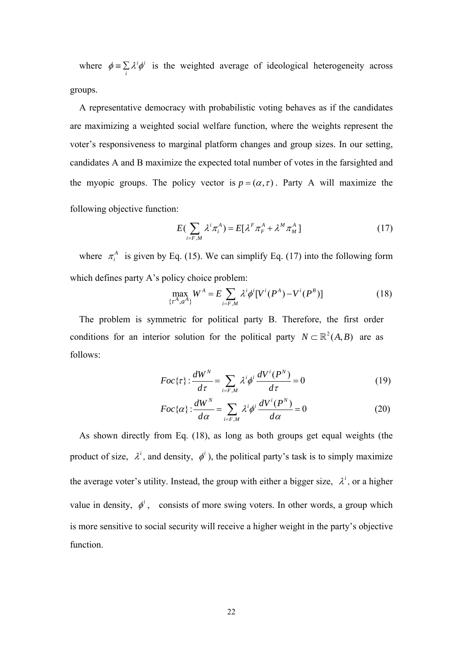where  $\phi = \sum_i \lambda^i \phi^i$  is the weighted average of ideological heterogeneity across groups.

A representative democracy with probabilistic voting behaves as if the candidates are maximizing a weighted social welfare function, where the weights represent the voter's responsiveness to marginal platform changes and group sizes. In our setting, candidates A and B maximize the expected total number of votes in the farsighted and the myopic groups. The policy vector is  $p = (\alpha, \tau)$ . Party A will maximize the following objective function:

$$
E\left(\sum_{i=F,M}\lambda^{i}\pi_{i}^{A}\right)=E\left[\lambda^{F}\pi_{F}^{A}+\lambda^{M}\pi_{M}^{A}\right]
$$
\n(17)

where  $\pi_i^A$  is given by Eq. (15). We can simplify Eq. (17) into the following form which defines party A's policy choice problem:

$$
\max_{\{\tau^A, a^A\}} W^A = E \sum_{i=F,M} \lambda^i \phi^i [V^i (P^A) - V^i (P^B)] \tag{18}
$$

The problem is symmetric for political party B. Therefore, the first order conditions for an interior solution for the political party  $N \subset \mathbb{R}^2(A, B)$  are as follows:

$$
Foc\{\tau\} : \frac{dW^N}{d\tau} = \sum_{i=F,M} \lambda^i \phi^i \frac{dV^i(P^N)}{d\tau} = 0
$$
 (19)

$$
Foc\{\alpha\} : \frac{dW^N}{d\alpha} = \sum_{i=F,M} \lambda^i \phi^i \frac{dV^i(P^N)}{d\alpha} = 0
$$
 (20)

As shown directly from Eq. (18), as long as both groups get equal weights (the product of size,  $\lambda^i$ , and density,  $\phi^i$ ), the political party's task is to simply maximize the average voter's utility. Instead, the group with either a bigger size,  $\lambda^i$ , or a higher value in density,  $\phi^i$ , consists of more swing voters. In other words, a group which is more sensitive to social security will receive a higher weight in the party's objective function.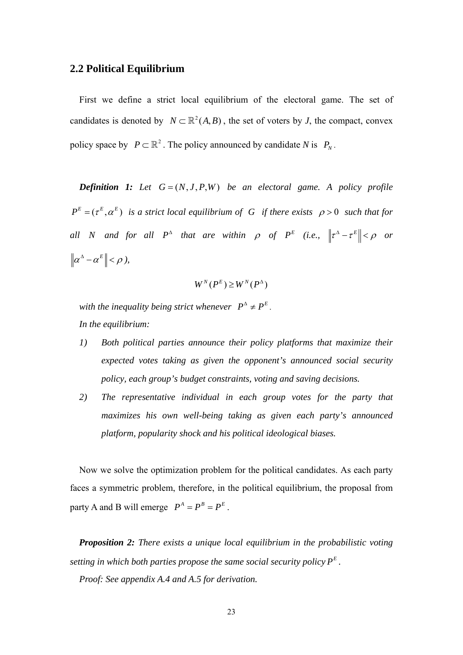### **2.2 Political Equilibrium**

First we define a strict local equilibrium of the electoral game. The set of candidates is denoted by  $N \subset \mathbb{R}^2(A, B)$ , the set of voters by *J*, the compact, convex policy space by  $P \subset \mathbb{R}^2$ . The policy announced by candidate *N* is  $P_N$ .

*Definition 1:* Let  $G = (N, J, P, W)$  be an electoral game. A policy profile  $P^{E} = (\tau^{E}, \alpha^{E})$  *is a strict local equilibrium of G if there exists*  $\rho > 0$  *such that for all N and for all P<sup>* $\triangle$ *</sup> <i>that are within*  $\rho$  *of P<sup>E</sup> (i.e.,*  $\left\| \tau^{\triangle} - \tau^E \right\| < \rho$  *or*  $\|\alpha^{\Delta} - \alpha^{\mathbb{E}}\| < \rho$ ),

$$
W^N(P^E) \ge W^N(P^{\Delta})
$$

*with the inequality being strict whenever*  $P^{\Delta} \neq P^{E}$ . *In the equilibrium:* 

- *1) Both political parties announce their policy platforms that maximize their expected votes taking as given the opponent's announced social security policy, each group's budget constraints, voting and saving decisions.*
- *2) The representative individual in each group votes for the party that maximizes his own well-being taking as given each party's announced platform, popularity shock and his political ideological biases.*

Now we solve the optimization problem for the political candidates. As each party faces a symmetric problem, therefore, in the political equilibrium, the proposal from party A and B will emerge  $P^A = P^B = P^E$ .

*Proposition 2: There exists a unique local equilibrium in the probabilistic voting setting in which both parties propose the same social security policy*  $P^E$ . *Proof: See appendix A.4 and A.5 for derivation.*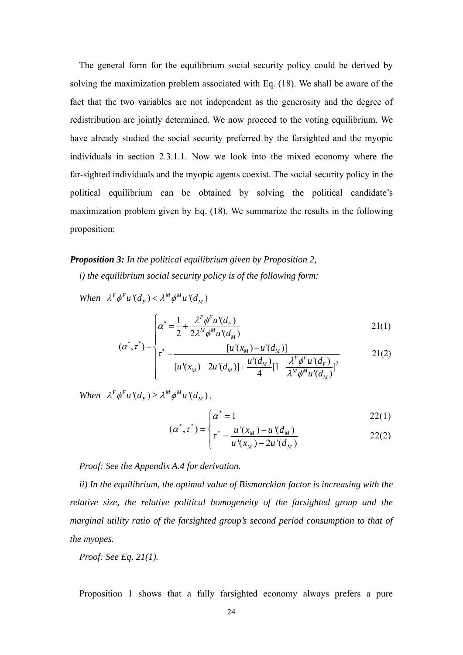The general form for the equilibrium social security policy could be derived by solving the maximization problem associated with Eq. (18). We shall be aware of the fact that the two variables are not independent as the generosity and the degree of redistribution are jointly determined. We now proceed to the voting equilibrium. We have already studied the social security preferred by the farsighted and the myopic individuals in section 2.3.1.1. Now we look into the mixed economy where the far-sighted individuals and the myopic agents coexist. The social security policy in the political equilibrium can be obtained by solving the political candidate's maximization problem given by Eq. (18). We summarize the results in the following proposition:

# *Proposition 3: In the political equilibrium given by Proposition 2,*

*i) the equilibrium social security policy is of the following form:* 

*When*  $\lambda^F \phi^F u^{\prime}(d_F) < \lambda^M \phi^M u^{\prime}(d_M)$ 

$$
\alpha^* = \frac{1}{2} + \frac{\lambda^F \phi^F u^* (d_F)}{2\lambda^M \phi^M u^* (d_M)}
$$
 21(1)

$$
(\alpha^*, \tau^*) = \begin{cases} 2 & \text{if } \alpha \leq u \leq u \leq u \leq u \\ \tau^* = \frac{[u'(x_M) - u'(d_M)]}{[u'(x_M) - 2u'(d_M)] + \frac{u'(d_M)}{4} [1 - \frac{\lambda^F \phi^F u'(d_F)}{\lambda^M \phi^M u'(d_M)}]^2} \end{cases}
$$
 (21(2)

*When*  $\lambda^F \phi^F u'(d_F) \ge \lambda^M \phi^M u'(d_M)$ ,

$$
\alpha^* = 1 \qquad \qquad 22(1)
$$

$$
(\alpha^*, \tau^*) = \begin{cases} \alpha^* = 1 & 22(1) \\ \tau^* = \frac{u'(x_M) - u'(d_M)}{u'(x_M) - 2u'(d_M)} & 22(2) \end{cases}
$$

*Proof: See the Appendix A.4 for derivation.* 

*ii) In the equilibrium, the optimal value of Bismarckian factor is increasing with the relative size, the relative political homogeneity of the farsighted group and the marginal utility ratio of the farsighted group's second period consumption to that of the myopes.* 

*Proof: See Eq. 21(1).* 

Proposition 1 shows that a fully farsighted economy always prefers a pure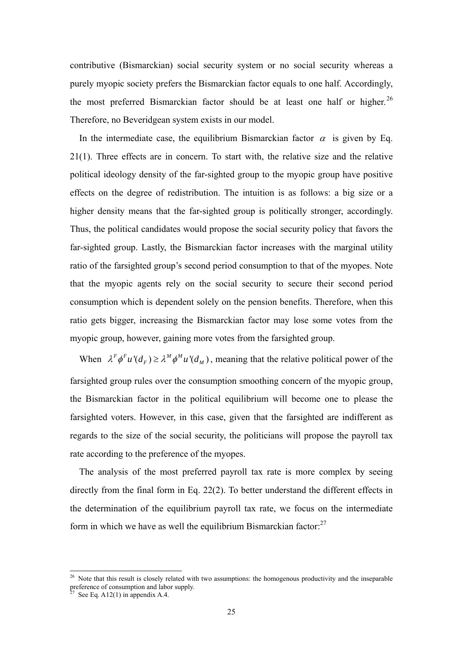contributive (Bismarckian) social security system or no social security whereas a purely myopic society prefers the Bismarckian factor equals to one half. Accordingly, the most preferred Bismarckian factor should be at least one half or higher.<sup>26</sup> Therefore, no Beveridgean system exists in our model.

In the intermediate case, the equilibrium Bismarckian factor  $\alpha$  is given by Eq. 21(1). Three effects are in concern. To start with, the relative size and the relative political ideology density of the far-sighted group to the myopic group have positive effects on the degree of redistribution. The intuition is as follows: a big size or a higher density means that the far-sighted group is politically stronger, accordingly. Thus, the political candidates would propose the social security policy that favors the far-sighted group. Lastly, the Bismarckian factor increases with the marginal utility ratio of the farsighted group's second period consumption to that of the myopes. Note that the myopic agents rely on the social security to secure their second period consumption which is dependent solely on the pension benefits. Therefore, when this ratio gets bigger, increasing the Bismarckian factor may lose some votes from the myopic group, however, gaining more votes from the farsighted group.

When  $\lambda^F \phi^F u^T (d_F) \ge \lambda^M \phi^M u^T (d_M)$ , meaning that the relative political power of the farsighted group rules over the consumption smoothing concern of the myopic group, the Bismarckian factor in the political equilibrium will become one to please the farsighted voters. However, in this case, given that the farsighted are indifferent as regards to the size of the social security, the politicians will propose the payroll tax rate according to the preference of the myopes.

The analysis of the most preferred payroll tax rate is more complex by seeing directly from the final form in Eq. 22(2). To better understand the different effects in the determination of the equilibrium payroll tax rate, we focus on the intermediate form in which we have as well the equilibrium Bismarckian factor: $27$ 

-

<sup>&</sup>lt;sup>26</sup> Note that this result is closely related with two assumptions: the homogenous productivity and the inseparable preference of consumption and labor supply.

See Eq. A12(1) in appendix A.4.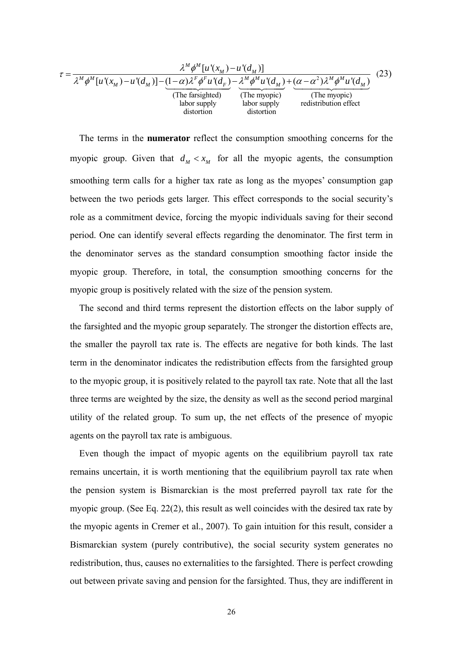$$
\tau = \frac{\lambda^M \phi^M[u'(x_M) - u'(d_M)]}{\lambda^M \phi^M[u'(x_M) - u'(d_M)] - (1 - \alpha)\lambda^F \phi^F u'(d_F) - \lambda^M \phi^M u'(d_M) + (\alpha - \alpha^2)\lambda^M \phi^M u'(d_M)} \frac{(23)}{\text{(The farsighted)}} \frac{(23)}{\text{(The myopic) } \text{labor supply}} \frac{(23)}{\text{(The myopic) } \text{redistribution effect}}
$$

The terms in the **numerator** reflect the consumption smoothing concerns for the myopic group. Given that  $d_M < x_M$  for all the myopic agents, the consumption smoothing term calls for a higher tax rate as long as the myopes' consumption gap between the two periods gets larger. This effect corresponds to the social security's role as a commitment device, forcing the myopic individuals saving for their second period. One can identify several effects regarding the denominator. The first term in the denominator serves as the standard consumption smoothing factor inside the myopic group. Therefore, in total, the consumption smoothing concerns for the myopic group is positively related with the size of the pension system.

The second and third terms represent the distortion effects on the labor supply of the farsighted and the myopic group separately. The stronger the distortion effects are, the smaller the payroll tax rate is. The effects are negative for both kinds. The last term in the denominator indicates the redistribution effects from the farsighted group to the myopic group, it is positively related to the payroll tax rate. Note that all the last three terms are weighted by the size, the density as well as the second period marginal utility of the related group. To sum up, the net effects of the presence of myopic agents on the payroll tax rate is ambiguous.

Even though the impact of myopic agents on the equilibrium payroll tax rate remains uncertain, it is worth mentioning that the equilibrium payroll tax rate when the pension system is Bismarckian is the most preferred payroll tax rate for the myopic group. (See Eq. 22(2), this result as well coincides with the desired tax rate by the myopic agents in Cremer et al., 2007). To gain intuition for this result, consider a Bismarckian system (purely contributive), the social security system generates no redistribution, thus, causes no externalities to the farsighted. There is perfect crowding out between private saving and pension for the farsighted. Thus, they are indifferent in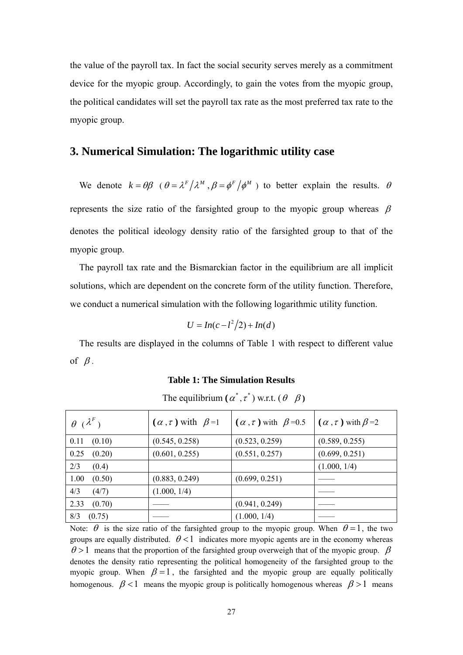the value of the payroll tax. In fact the social security serves merely as a commitment device for the myopic group. Accordingly, to gain the votes from the myopic group, the political candidates will set the payroll tax rate as the most preferred tax rate to the myopic group.

# **3. Numerical Simulation: The logarithmic utility case**

We denote  $k = \theta \beta$  ( $\theta = \lambda^F / \lambda^M$ ,  $\beta = \phi^F / \phi^M$ ) to better explain the results.  $\theta$ represents the size ratio of the farsighted group to the myopic group whereas  $\beta$ denotes the political ideology density ratio of the farsighted group to that of the myopic group.

The payroll tax rate and the Bismarckian factor in the equilibrium are all implicit solutions, which are dependent on the concrete form of the utility function. Therefore, we conduct a numerical simulation with the following logarithmic utility function.

$$
U = \ln(c - l^2/2) + \ln(d)
$$

The results are displayed in the columns of Table 1 with respect to different value of  $\beta$ .

### **Table 1: The Simulation Results**

The equilibrium  $(\alpha^*, \tau^*)$  w.r.t.  $(\theta, \beta)$ 

| $\theta$ ( $\lambda^F$ ) | $(\alpha, \tau)$ with $\beta=1$ | $(\alpha, \tau)$ with $\beta = 0.5$ | $(\alpha, \tau)$ with $\beta = 2$ |
|--------------------------|---------------------------------|-------------------------------------|-----------------------------------|
| (0.10)<br>0.11           | (0.545, 0.258)                  | (0.523, 0.259)                      | (0.589, 0.255)                    |
| (0.20)<br>0.25           | (0.601, 0.255)                  | (0.551, 0.257)                      | (0.699, 0.251)                    |
| 2/3<br>(0.4)             |                                 |                                     | (1.000, 1/4)                      |
| (0.50)<br>1.00           | (0.883, 0.249)                  | (0.699, 0.251)                      |                                   |
| 4/3<br>(4/7)             | (1.000, 1/4)                    |                                     |                                   |
| (0.70)<br>2.33           |                                 | (0.941, 0.249)                      |                                   |
| 8/3<br>(0.75)            |                                 | (1.000, 1/4)                        |                                   |

Note:  $\theta$  is the size ratio of the farsighted group to the myopic group. When  $\theta = 1$ , the two groups are equally distributed.  $\theta$ <1 indicates more myopic agents are in the economy whereas  $\theta > 1$  means that the proportion of the farsighted group overweigh that of the myopic group.  $\beta$ denotes the density ratio representing the political homogeneity of the farsighted group to the myopic group. When  $\beta = 1$ , the farsighted and the myopic group are equally politically homogenous.  $\beta$  < 1 means the myopic group is politically homogenous whereas  $\beta$  > 1 means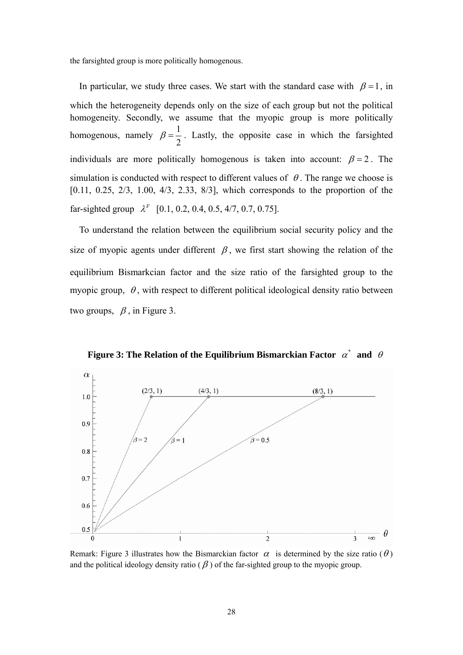the farsighted group is more politically homogenous.

In particular, we study three cases. We start with the standard case with  $\beta = 1$ , in which the heterogeneity depends only on the size of each group but not the political homogeneity. Secondly, we assume that the myopic group is more politically homogenous, namely  $\beta = \frac{1}{2}$ . Lastly, the opposite case in which the farsighted individuals are more politically homogenous is taken into account:  $\beta = 2$ . The simulation is conducted with respect to different values of  $\theta$ . The range we choose is [0.11, 0.25, 2/3, 1.00, 4/3, 2.33, 8/3], which corresponds to the proportion of the far-sighted group  $\lambda^F$  [0.1, 0.2, 0.4, 0.5, 4/7, 0.7, 0.75].

To understand the relation between the equilibrium social security policy and the size of myopic agents under different  $\beta$ , we first start showing the relation of the equilibrium Bismarkcian factor and the size ratio of the farsighted group to the myopic group,  $\theta$ , with respect to different political ideological density ratio between two groups,  $\beta$ , in Figure 3.



**Figure 3: The Relation of the Equilibrium Bismarckian Factor**  $\alpha^*$  and  $\theta$ 

Remark: Figure 3 illustrates how the Bismarckian factor  $\alpha$  is determined by the size ratio ( $\theta$ ) and the political ideology density ratio ( $\beta$ ) of the far-sighted group to the myopic group.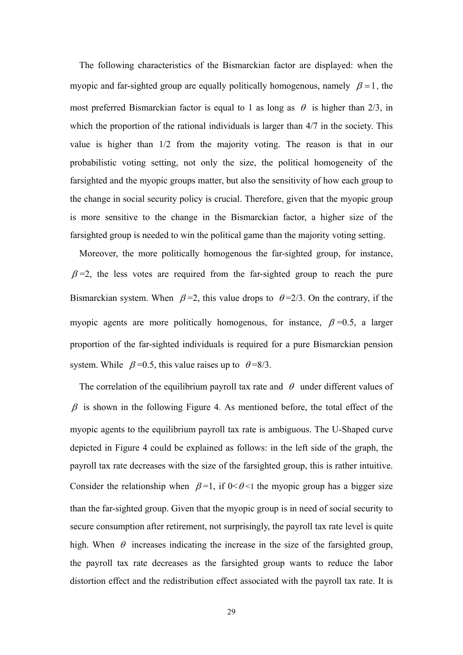The following characteristics of the Bismarckian factor are displayed: when the myopic and far-sighted group are equally politically homogenous, namely  $\beta = 1$ , the most preferred Bismarckian factor is equal to 1 as long as  $\theta$  is higher than 2/3, in which the proportion of the rational individuals is larger than  $4/7$  in the society. This value is higher than 1/2 from the majority voting. The reason is that in our probabilistic voting setting, not only the size, the political homogeneity of the farsighted and the myopic groups matter, but also the sensitivity of how each group to the change in social security policy is crucial. Therefore, given that the myopic group is more sensitive to the change in the Bismarckian factor, a higher size of the farsighted group is needed to win the political game than the majority voting setting.

Moreover, the more politically homogenous the far-sighted group, for instance,  $\beta$  =2, the less votes are required from the far-sighted group to reach the pure Bismarckian system. When  $\beta = 2$ , this value drops to  $\theta = 2/3$ . On the contrary, if the myopic agents are more politically homogenous, for instance,  $\beta = 0.5$ , a larger proportion of the far-sighted individuals is required for a pure Bismarckian pension system. While  $\beta = 0.5$ , this value raises up to  $\theta = 8/3$ .

The correlation of the equilibrium payroll tax rate and  $\theta$  under different values of  $\beta$  is shown in the following Figure 4. As mentioned before, the total effect of the myopic agents to the equilibrium payroll tax rate is ambiguous. The U-Shaped curve depicted in Figure 4 could be explained as follows: in the left side of the graph, the payroll tax rate decreases with the size of the farsighted group, this is rather intuitive. Consider the relationship when  $\beta = 1$ , if  $0 < \theta < 1$  the myopic group has a bigger size than the far-sighted group. Given that the myopic group is in need of social security to secure consumption after retirement, not surprisingly, the payroll tax rate level is quite high. When  $\theta$  increases indicating the increase in the size of the farsighted group, the payroll tax rate decreases as the farsighted group wants to reduce the labor distortion effect and the redistribution effect associated with the payroll tax rate. It is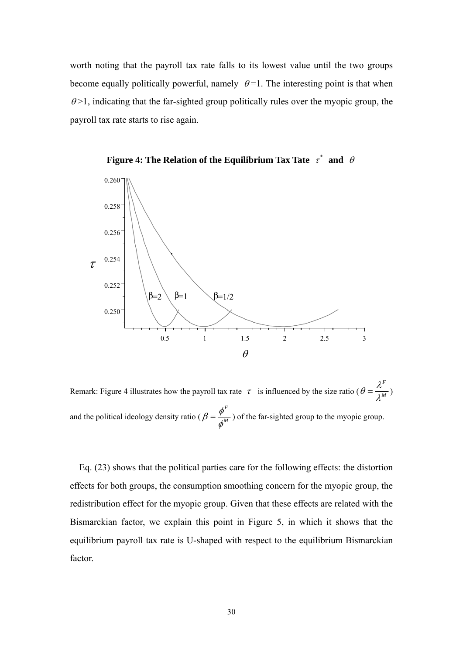worth noting that the payroll tax rate falls to its lowest value until the two groups become equally politically powerful, namely  $\theta = 1$ . The interesting point is that when  $\theta$  >1, indicating that the far-sighted group politically rules over the myopic group, the payroll tax rate starts to rise again.



**Figure 4: The Relation of the Equilibrium Tax Tate**  $\tau^*$  **and**  $\theta$ 

Remark: Figure 4 illustrates how the payroll tax rate  $\tau$  is influenced by the size ratio ( *F*  $\theta = \frac{\lambda^r}{\lambda^M})$ and the political ideology density ratio ( *F*  $\beta = \frac{\phi^r}{\phi^M}$ ) of the far-sighted group to the myopic group.

Eq. (23) shows that the political parties care for the following effects: the distortion effects for both groups, the consumption smoothing concern for the myopic group, the redistribution effect for the myopic group. Given that these effects are related with the Bismarckian factor, we explain this point in Figure 5, in which it shows that the equilibrium payroll tax rate is U-shaped with respect to the equilibrium Bismarckian factor.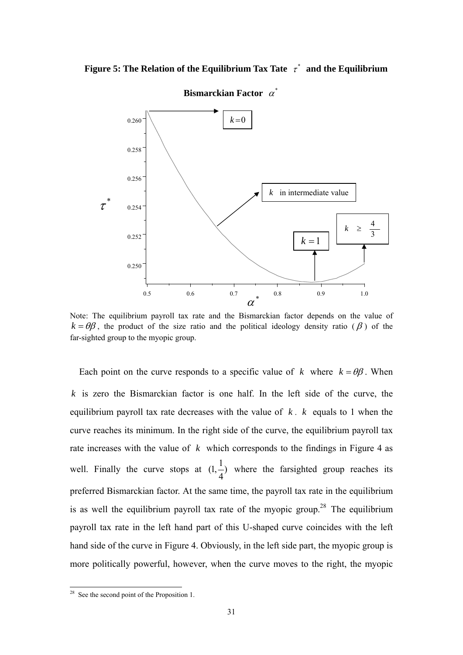**Figure 5: The Relation of the Equilibrium Tax Tate**  $\tau^*$  **and the Equilibrium** 



**Bismarckian Factor**  $\alpha^*$ 

Note: The equilibrium payroll tax rate and the Bismarckian factor depends on the value of  $k = \theta \beta$ , the product of the size ratio and the political ideology density ratio ( $\beta$ ) of the far-sighted group to the myopic group.

Each point on the curve responds to a specific value of *k* where  $k = \theta \beta$ . When *k* is zero the Bismarckian factor is one half. In the left side of the curve, the equilibrium payroll tax rate decreases with the value of *k* . *k* equals to 1 when the curve reaches its minimum. In the right side of the curve, the equilibrium payroll tax rate increases with the value of  $k$  which corresponds to the findings in Figure 4 as well. Finally the curve stops at  $(1, \frac{1}{4})$  where the farsighted group reaches its preferred Bismarckian factor. At the same time, the payroll tax rate in the equilibrium is as well the equilibrium payroll tax rate of the myopic group.<sup>28</sup> The equilibrium payroll tax rate in the left hand part of this U-shaped curve coincides with the left hand side of the curve in Figure 4. Obviously, in the left side part, the myopic group is more politically powerful, however, when the curve moves to the right, the myopic

-

 $28$  See the second point of the Proposition 1.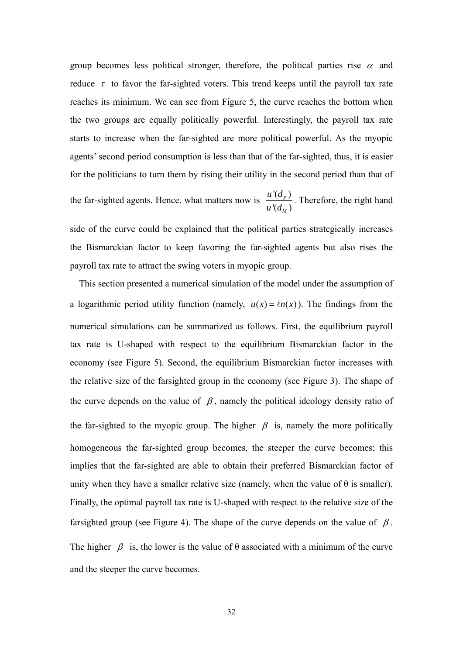group becomes less political stronger, therefore, the political parties rise  $\alpha$  and reduce  $\tau$  to favor the far-sighted voters. This trend keeps until the payroll tax rate reaches its minimum. We can see from Figure 5, the curve reaches the bottom when the two groups are equally politically powerful. Interestingly, the payroll tax rate starts to increase when the far-sighted are more political powerful. As the myopic agents' second period consumption is less than that of the far-sighted, thus, it is easier for the politicians to turn them by rising their utility in the second period than that of the far-sighted agents. Hence, what matters now is  $\frac{u'(d_F)}{d_F}$  $\mathcal{U}_M$ ) *F M*  $\frac{u'(d_F)}{u'(d_M)}$ . Therefore, the right hand side of the curve could be explained that the political parties strategically increases

the Bismarckian factor to keep favoring the far-sighted agents but also rises the payroll tax rate to attract the swing voters in myopic group.

This section presented a numerical simulation of the model under the assumption of a logarithmic period utility function (namely,  $u(x) = ln(x)$ ). The findings from the numerical simulations can be summarized as follows. First, the equilibrium payroll tax rate is U-shaped with respect to the equilibrium Bismarckian factor in the economy (see Figure 5). Second, the equilibrium Bismarckian factor increases with the relative size of the farsighted group in the economy (see Figure 3). The shape of the curve depends on the value of  $\beta$ , namely the political ideology density ratio of the far-sighted to the myopic group. The higher  $\beta$  is, namely the more politically homogeneous the far-sighted group becomes, the steeper the curve becomes; this implies that the far-sighted are able to obtain their preferred Bismarckian factor of unity when they have a smaller relative size (namely, when the value of  $\theta$  is smaller). Finally, the optimal payroll tax rate is U-shaped with respect to the relative size of the farsighted group (see Figure 4). The shape of the curve depends on the value of  $\beta$ . The higher  $\beta$  is, the lower is the value of  $\theta$  associated with a minimum of the curve and the steeper the curve becomes.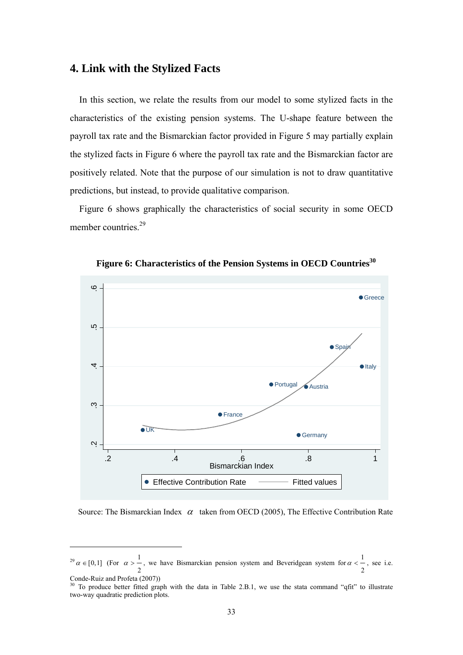# **4. Link with the Stylized Facts**

In this section, we relate the results from our model to some stylized facts in the characteristics of the existing pension systems. The U-shape feature between the payroll tax rate and the Bismarckian factor provided in Figure 5 may partially explain the stylized facts in Figure 6 where the payroll tax rate and the Bismarckian factor are positively related. Note that the purpose of our simulation is not to draw quantitative predictions, but instead, to provide qualitative comparison.

Figure 6 shows graphically the characteristics of social security in some OECD member countries.<sup>29</sup>



**Figure 6: Characteristics of the Pension Systems in OECD Countries<sup>30</sup>**

Source: The Bismarckian Index  $\alpha$  taken from OECD (2005), The Effective Contribution Rate

-

<sup>&</sup>lt;sup>29</sup>  $\alpha \in [0,1]$  (For  $\alpha > -$ 2  $\alpha > -$ , we have Bismarckian pension system and Beveridgean system for  $\alpha < -1$ 2  $\alpha < -$ , see i.e. Conde-Ruiz and Profeta (2007))

<sup>&</sup>lt;sup>30</sup> To produce better fitted graph with the data in Table 2.B.1, we use the stata command "qfit" to illustrate two-way quadratic prediction plots.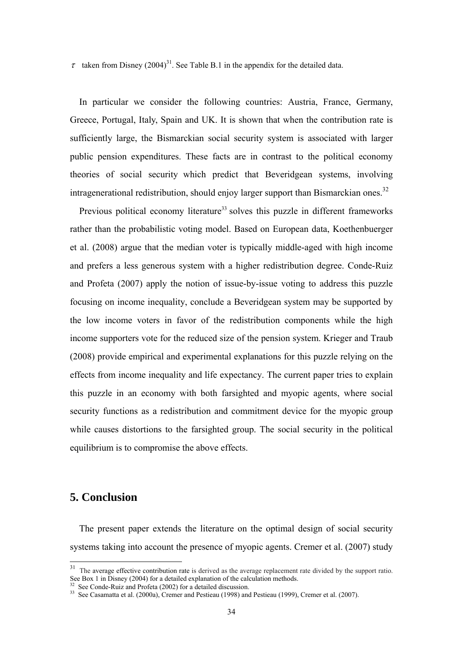$\tau$  taken from Disney (2004)<sup>31</sup>. See Table B.1 in the appendix for the detailed data.

In particular we consider the following countries: Austria, France, Germany, Greece, Portugal, Italy, Spain and UK. It is shown that when the contribution rate is sufficiently large, the Bismarckian social security system is associated with larger public pension expenditures. These facts are in contrast to the political economy theories of social security which predict that Beveridgean systems, involving intragenerational redistribution, should enjoy larger support than Bismarckian ones.<sup>32</sup>

Previous political economy literature<sup>33</sup> solves this puzzle in different frameworks rather than the probabilistic voting model. Based on European data, Koethenbuerger et al. (2008) argue that the median voter is typically middle-aged with high income and prefers a less generous system with a higher redistribution degree. Conde-Ruiz and Profeta (2007) apply the notion of issue-by-issue voting to address this puzzle focusing on income inequality, conclude a Beveridgean system may be supported by the low income voters in favor of the redistribution components while the high income supporters vote for the reduced size of the pension system. Krieger and Traub (2008) provide empirical and experimental explanations for this puzzle relying on the effects from income inequality and life expectancy. The current paper tries to explain this puzzle in an economy with both farsighted and myopic agents, where social security functions as a redistribution and commitment device for the myopic group while causes distortions to the farsighted group. The social security in the political equilibrium is to compromise the above effects.

## **5. Conclusion**

<u>.</u>

 The present paper extends the literature on the optimal design of social security systems taking into account the presence of myopic agents. Cremer et al. (2007) study

 $31$  The average effective contribution rate is derived as the average replacement rate divided by the support ratio.<br>See Box 1 in Disney (2004) for a detailed explanation of the calculation methods.

<sup>&</sup>lt;sup>32</sup> See Conde-Ruiz and Profeta (2002) for a detailed discussion.<br><sup>33</sup> See Casamatta et al. (2000a), Cremer and Pestieau (1998) and Pestieau (1999), Cremer et al. (2007).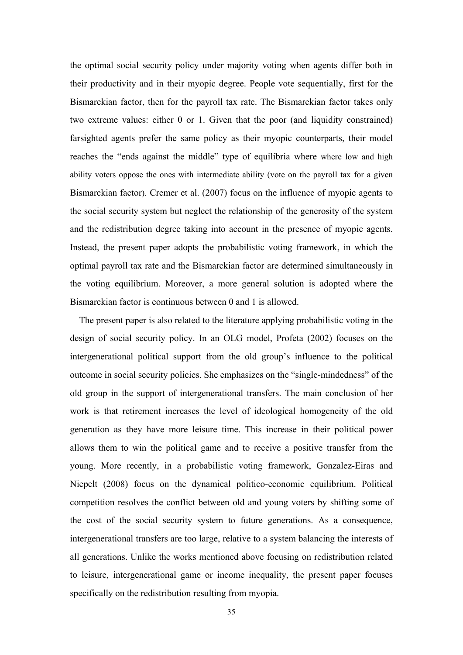the optimal social security policy under majority voting when agents differ both in their productivity and in their myopic degree. People vote sequentially, first for the Bismarckian factor, then for the payroll tax rate. The Bismarckian factor takes only two extreme values: either 0 or 1. Given that the poor (and liquidity constrained) farsighted agents prefer the same policy as their myopic counterparts, their model reaches the "ends against the middle" type of equilibria where where low and high ability voters oppose the ones with intermediate ability (vote on the payroll tax for a given Bismarckian factor). Cremer et al. (2007) focus on the influence of myopic agents to the social security system but neglect the relationship of the generosity of the system and the redistribution degree taking into account in the presence of myopic agents. Instead, the present paper adopts the probabilistic voting framework, in which the optimal payroll tax rate and the Bismarckian factor are determined simultaneously in the voting equilibrium. Moreover, a more general solution is adopted where the Bismarckian factor is continuous between 0 and 1 is allowed.

The present paper is also related to the literature applying probabilistic voting in the design of social security policy. In an OLG model, Profeta (2002) focuses on the intergenerational political support from the old group's influence to the political outcome in social security policies. She emphasizes on the "single-mindedness" of the old group in the support of intergenerational transfers. The main conclusion of her work is that retirement increases the level of ideological homogeneity of the old generation as they have more leisure time. This increase in their political power allows them to win the political game and to receive a positive transfer from the young. More recently, in a probabilistic voting framework, Gonzalez-Eiras and Niepelt (2008) focus on the dynamical politico-economic equilibrium. Political competition resolves the conflict between old and young voters by shifting some of the cost of the social security system to future generations. As a consequence, intergenerational transfers are too large, relative to a system balancing the interests of all generations. Unlike the works mentioned above focusing on redistribution related to leisure, intergenerational game or income inequality, the present paper focuses specifically on the redistribution resulting from myopia.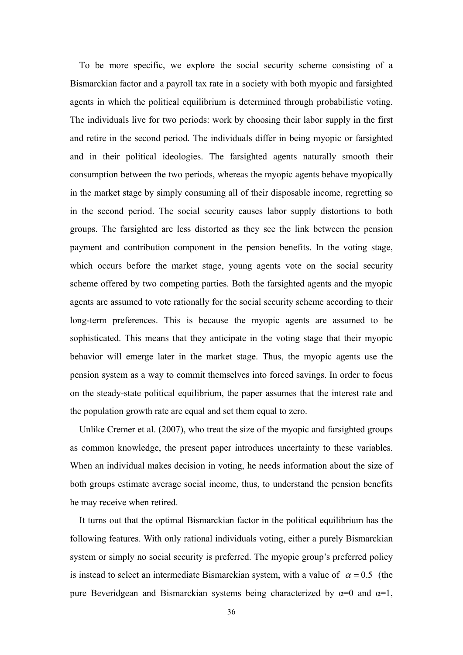To be more specific, we explore the social security scheme consisting of a Bismarckian factor and a payroll tax rate in a society with both myopic and farsighted agents in which the political equilibrium is determined through probabilistic voting. The individuals live for two periods: work by choosing their labor supply in the first and retire in the second period. The individuals differ in being myopic or farsighted and in their political ideologies. The farsighted agents naturally smooth their consumption between the two periods, whereas the myopic agents behave myopically in the market stage by simply consuming all of their disposable income, regretting so in the second period. The social security causes labor supply distortions to both groups. The farsighted are less distorted as they see the link between the pension payment and contribution component in the pension benefits. In the voting stage, which occurs before the market stage, young agents vote on the social security scheme offered by two competing parties. Both the farsighted agents and the myopic agents are assumed to vote rationally for the social security scheme according to their long-term preferences. This is because the myopic agents are assumed to be sophisticated. This means that they anticipate in the voting stage that their myopic behavior will emerge later in the market stage. Thus, the myopic agents use the pension system as a way to commit themselves into forced savings. In order to focus on the steady-state political equilibrium, the paper assumes that the interest rate and the population growth rate are equal and set them equal to zero.

Unlike Cremer et al. (2007), who treat the size of the myopic and farsighted groups as common knowledge, the present paper introduces uncertainty to these variables. When an individual makes decision in voting, he needs information about the size of both groups estimate average social income, thus, to understand the pension benefits he may receive when retired.

It turns out that the optimal Bismarckian factor in the political equilibrium has the following features. With only rational individuals voting, either a purely Bismarckian system or simply no social security is preferred. The myopic group's preferred policy is instead to select an intermediate Bismarckian system, with a value of  $\alpha = 0.5$  (the pure Beveridgean and Bismarckian systems being characterized by  $\alpha=0$  and  $\alpha=1$ ,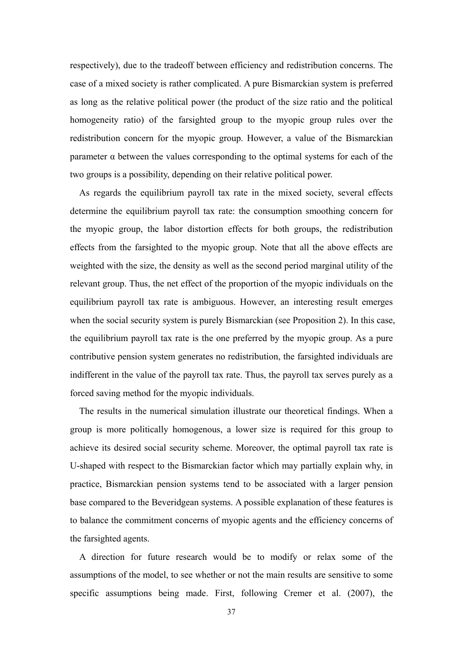respectively), due to the tradeoff between efficiency and redistribution concerns. The case of a mixed society is rather complicated. A pure Bismarckian system is preferred as long as the relative political power (the product of the size ratio and the political homogeneity ratio) of the farsighted group to the myopic group rules over the redistribution concern for the myopic group. However, a value of the Bismarckian parameter  $\alpha$  between the values corresponding to the optimal systems for each of the two groups is a possibility, depending on their relative political power.

As regards the equilibrium payroll tax rate in the mixed society, several effects determine the equilibrium payroll tax rate: the consumption smoothing concern for the myopic group, the labor distortion effects for both groups, the redistribution effects from the farsighted to the myopic group. Note that all the above effects are weighted with the size, the density as well as the second period marginal utility of the relevant group. Thus, the net effect of the proportion of the myopic individuals on the equilibrium payroll tax rate is ambiguous. However, an interesting result emerges when the social security system is purely Bismarckian (see Proposition 2). In this case, the equilibrium payroll tax rate is the one preferred by the myopic group. As a pure contributive pension system generates no redistribution, the farsighted individuals are indifferent in the value of the payroll tax rate. Thus, the payroll tax serves purely as a forced saving method for the myopic individuals.

The results in the numerical simulation illustrate our theoretical findings. When a group is more politically homogenous, a lower size is required for this group to achieve its desired social security scheme. Moreover, the optimal payroll tax rate is U-shaped with respect to the Bismarckian factor which may partially explain why, in practice, Bismarckian pension systems tend to be associated with a larger pension base compared to the Beveridgean systems. A possible explanation of these features is to balance the commitment concerns of myopic agents and the efficiency concerns of the farsighted agents.

A direction for future research would be to modify or relax some of the assumptions of the model, to see whether or not the main results are sensitive to some specific assumptions being made. First, following Cremer et al. (2007), the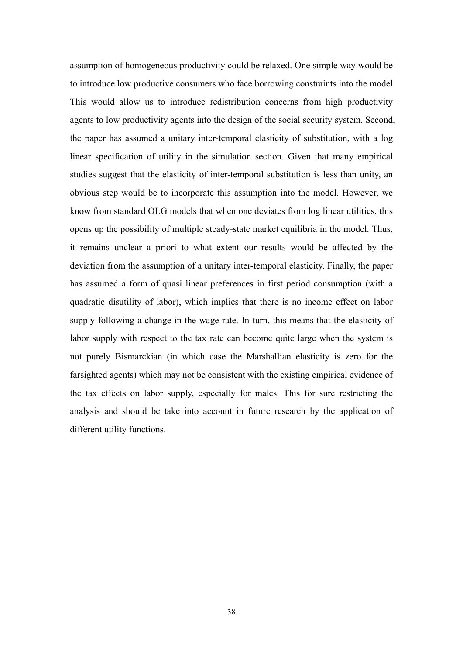assumption of homogeneous productivity could be relaxed. One simple way would be to introduce low productive consumers who face borrowing constraints into the model. This would allow us to introduce redistribution concerns from high productivity agents to low productivity agents into the design of the social security system. Second, the paper has assumed a unitary inter-temporal elasticity of substitution, with a log linear specification of utility in the simulation section. Given that many empirical studies suggest that the elasticity of inter-temporal substitution is less than unity, an obvious step would be to incorporate this assumption into the model. However, we know from standard OLG models that when one deviates from log linear utilities, this opens up the possibility of multiple steady-state market equilibria in the model. Thus, it remains unclear a priori to what extent our results would be affected by the deviation from the assumption of a unitary inter-temporal elasticity. Finally, the paper has assumed a form of quasi linear preferences in first period consumption (with a quadratic disutility of labor), which implies that there is no income effect on labor supply following a change in the wage rate. In turn, this means that the elasticity of labor supply with respect to the tax rate can become quite large when the system is not purely Bismarckian (in which case the Marshallian elasticity is zero for the farsighted agents) which may not be consistent with the existing empirical evidence of the tax effects on labor supply, especially for males. This for sure restricting the analysis and should be take into account in future research by the application of different utility functions.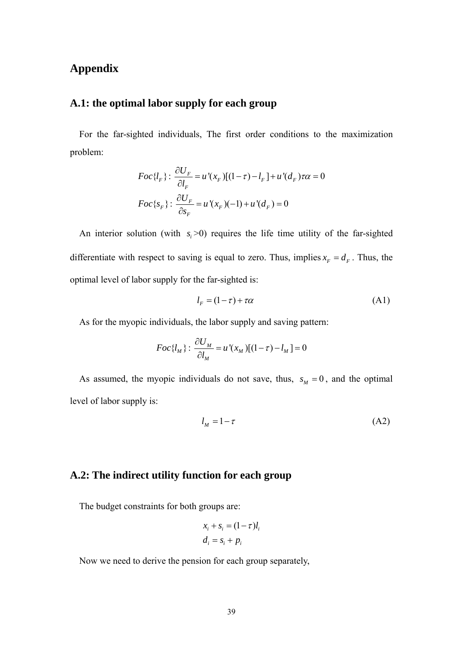# **Appendix**

### **A.1: the optimal labor supply for each group**

For the far-sighted individuals, The first order conditions to the maximization problem:

$$
Foc\{l_F\} : \frac{\partial U_F}{\partial l_F} = u'(x_F)[(1-\tau) - l_F] + u'(d_F)\tau\alpha = 0
$$
  

$$
Foc\{s_F\} : \frac{\partial U_F}{\partial s_F} = u'(x_F)(-1) + u'(d_F) = 0
$$

An interior solution (with  $s \geq 0$ ) requires the life time utility of the far-sighted differentiate with respect to saving is equal to zero. Thus, implies  $x_F = d_F$ . Thus, the optimal level of labor supply for the far-sighted is:

$$
l_F = (1 - \tau) + \tau \alpha \tag{A1}
$$

As for the myopic individuals, the labor supply and saving pattern:

$$
Foc\{l_M\} : \frac{\partial U_M}{\partial l_M} = u'(x_M)[(1-\tau) - l_M] = 0
$$

As assumed, the myopic individuals do not save, thus,  $s_M = 0$ , and the optimal level of labor supply is:

$$
l_M = 1 - \tau \tag{A2}
$$

# **A.2: The indirect utility function for each group**

The budget constraints for both groups are:

$$
x_i + s_i = (1 - \tau)l_i
$$
  

$$
d_i = s_i + p_i
$$

Now we need to derive the pension for each group separately,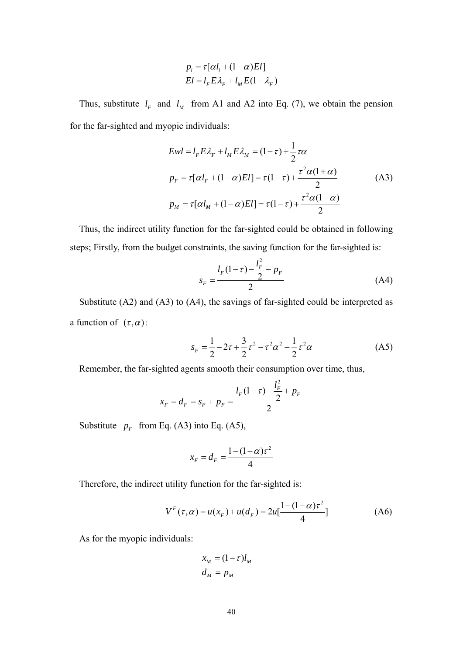$$
p_i = \tau[\alpha l_i + (1 - \alpha)EI]
$$
  
 
$$
El = l_F E \lambda_F + l_M E(1 - \lambda_F)
$$

Thus, substitute  $I<sub>F</sub>$  and  $I<sub>M</sub>$  from A1 and A2 into Eq. (7), we obtain the pension for the far-sighted and myopic individuals:

$$
Ewl = lF E\lambdaF + lM E\lambdaM = (1 - \tau) + \frac{1}{2}\tau\alpha
$$
  
\n
$$
pF = \tau[\alpha lF + (1 - \alpha)EI] = \tau(1 - \tau) + \frac{\tau^2 \alpha(1 + \alpha)}{2}
$$
(A3)  
\n
$$
pM = \tau[\alpha lM + (1 - \alpha)EI] = \tau(1 - \tau) + \frac{\tau^2 \alpha(1 - \alpha)}{2}
$$

Thus, the indirect utility function for the far-sighted could be obtained in following steps; Firstly, from the budget constraints, the saving function for the far-sighted is:

$$
s_F = \frac{l_F(1-\tau) - \frac{l_F^2}{2} - p_F}{2} \tag{A4}
$$

Substitute (A2) and (A3) to (A4), the savings of far-sighted could be interpreted as a function of  $(\tau, \alpha)$ :

$$
s_F = \frac{1}{2} - 2\tau + \frac{3}{2}\tau^2 - \tau^2\alpha^2 - \frac{1}{2}\tau^2\alpha
$$
 (A5)

Remember, the far-sighted agents smooth their consumption over time, thus,

$$
x_F = d_F = s_F + p_F = \frac{l_F(1-\tau) - \frac{l_F^2}{2} + p_F}{2}
$$

Substitute  $p_F$  from Eq. (A3) into Eq. (A5),

$$
x_F = d_F = \frac{1 - (1 - \alpha)\tau^2}{4}
$$

Therefore, the indirect utility function for the far-sighted is:

$$
V^{F}(\tau,\alpha) = u(x_{F}) + u(d_{F}) = 2u[\frac{1 - (1 - \alpha)\tau^{2}}{4}]
$$
 (A6)

As for the myopic individuals:

$$
x_M = (1 - \tau)l_M
$$
  

$$
d_M = p_M
$$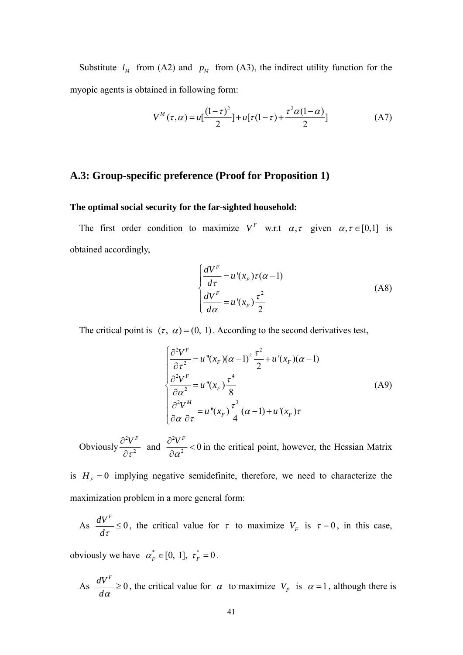Substitute  $l_M$  from (A2) and  $p_M$  from (A3), the indirect utility function for the myopic agents is obtained in following form:

$$
V^{M}(\tau,\alpha) = u \left[ \frac{(1-\tau)^{2}}{2} \right] + u[\tau(1-\tau) + \frac{\tau^{2} \alpha (1-\alpha)}{2}] \tag{A7}
$$

### **A.3: Group-specific preference (Proof for Proposition 1)**

### **The optimal social security for the far-sighted household:**

The first order condition to maximize  $V^F$  w.r.t  $\alpha, \tau$  given  $\alpha, \tau \in [0,1]$  is obtained accordingly,

$$
\begin{cases}\n\frac{dV^F}{d\tau} = u'(x_F)\tau(\alpha - 1) \\
\frac{dV^F}{d\alpha} = u'(x_F)\frac{\tau^2}{2}\n\end{cases}
$$
\n(A8)

The critical point is  $(\tau, \alpha) = (0, 1)$ . According to the second derivatives test,

$$
\begin{cases}\n\frac{\partial^2 V^F}{\partial \tau^2} = u''(x_F)(\alpha - 1)^2 \frac{\tau^2}{2} + u'(x_F)(\alpha - 1) \\
\frac{\partial^2 V^F}{\partial \alpha^2} = u''(x_F) \frac{\tau^4}{8} \\
\frac{\partial^2 V^M}{\partial \alpha \partial \tau} = u''(x_F) \frac{\tau^3}{4} (\alpha - 1) + u'(x_F) \tau\n\end{cases} (A9)
$$

**Obviously** 2 2  $V^F$ τ ∂ ∂ and 2  $\frac{1}{2} < 0$  $V^F$ α  $\frac{\partial^2 V^F}{\partial \alpha^2}$  < 0 in the critical point, however, the Hessian Matrix

is  $H_F = 0$  implying negative semidefinite, therefore, we need to characterize the maximization problem in a more general form:

As 
$$
\frac{dV^F}{d\tau} \le 0
$$
, the critical value for  $\tau$  to maximize  $V_F$  is  $\tau = 0$ , in this case,

obviously we have  $\alpha_F^* \in [0, 1]$ ,  $\tau_F^* = 0$ .

As 
$$
\frac{dV^F}{d\alpha} \ge 0
$$
, the critical value for  $\alpha$  to maximize  $V_F$  is  $\alpha = 1$ , although there is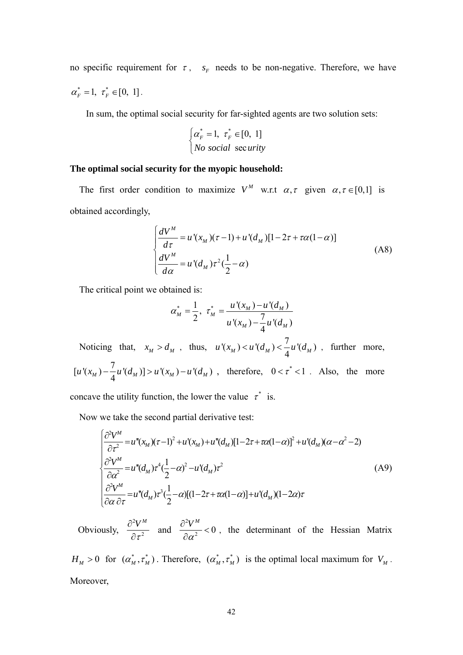no specific requirement for  $\tau$ ,  $s_F$  needs to be non-negative. Therefore, we have  $\alpha_F^* = 1, \tau_F^* \in [0, 1]$ .

In sum, the optimal social security for far-sighted agents are two solution sets:

$$
\begin{cases} \alpha_F^* = 1, & \tau_F^* \in [0, 1] \\ No \text{ social } \sec \text{urity} \end{cases}
$$

### **The optimal social security for the myopic household:**

The first order condition to maximize  $V^M$  w.r.t  $\alpha, \tau$  given  $\alpha, \tau \in [0,1]$  is obtained accordingly,

$$
\begin{cases}\n\frac{dV^M}{d\tau} = u'(x_M)(\tau - 1) + u'(d_M)[1 - 2\tau + \tau\alpha(1 - \alpha)] \\
\frac{dV^M}{d\alpha} = u'(d_M)\tau^2(\frac{1}{2} - \alpha)\n\end{cases} (A8)
$$

The critical point we obtained is:

$$
\alpha_{M}^{*} = \frac{1}{2}, \ \tau_{M}^{*} = \frac{u'(x_{M}) - u'(d_{M})}{u'(x_{M}) - \frac{7}{4}u'(d_{M})}
$$

Noticing that,  $x_M > d_M$ , thus,  $u'(x_M) < u'(d_M) < \frac{7}{4}u'(d_M)$ , further more,  $[u'(x_M) - \frac{7}{4}u'(d_M)] > u'(x_M) - u'(d_M)$ , therefore,  $0 < \tau^* < 1$ . Also, the more

concave the utility function, the lower the value  $\tau^*$  is.

Now we take the second partial derivative test:

$$
\begin{cases}\n\frac{\partial^2 V^M}{\partial \tau^2} = u''(x_M)(\tau - 1)^2 + u'(x_M) + u''(d_M)[1 - 2\tau + \tau \alpha (1 - \alpha)]^2 + u'(d_M)(\alpha - \alpha^2 - 2) \\
\frac{\partial^2 V^M}{\partial \alpha^2} = u''(d_M)\tau^4(\frac{1}{2} - \alpha)^2 - u'(d_M)\tau^2 \\
\frac{\partial^2 V^M}{\partial \alpha \partial \tau} = u''(d_M)\tau^3(\frac{1}{2} - \alpha)[(1 - 2\tau + \tau \alpha (1 - \alpha)] + u'(d_M)(1 - 2\alpha)\tau\n\end{cases} (A9)
$$

Obviously, 2 2  $V^M$ τ ∂ ∂ and 2  $\frac{1}{2} < 0$  $V^M$ α  $\frac{\partial^2 V^M}{\partial \alpha^2}$  < 0, the determinant of the Hessian Matrix

 $H_M > 0$  for  $(\alpha_M^*, \tau_M^*)$ . Therefore,  $(\alpha_M^*, \tau_M^*)$  is the optimal local maximum for  $V_M$ . Moreover,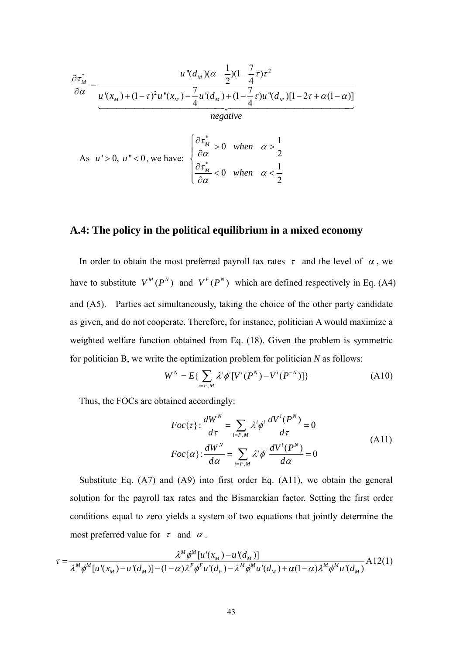$$
\frac{\partial \tau_M^*}{\partial \alpha} = \frac{u''(d_M)(\alpha - \frac{1}{2})(1 - \frac{7}{4}\tau)\tau^2}{u'(x_M) + (1 - \tau)^2 u''(x_M) - \frac{7}{4}u'(d_M) + (1 - \frac{7}{4}\tau)u''(d_M)[1 - 2\tau + \alpha(1 - \alpha)]}
$$
  
negative  
As  $u' > 0$ ,  $u'' < 0$ , we have: 
$$
\begin{cases} \frac{\partial \tau_M^*}{\partial \alpha} > 0 & \text{when } \alpha > \frac{1}{2} \\ 0 & \text{when } \alpha > \frac{1}{2} \end{cases}
$$

$$
\begin{cases}\n < 0, \text{ we have:} \\
\frac{\partial \tau_M^*}{\partial \alpha} < 0 \text{ when } \alpha < \frac{1}{2}\n\end{cases}
$$

## **A.4: The policy in the political equilibrium in a mixed economy**

In order to obtain the most preferred payroll tax rates  $\tau$  and the level of  $\alpha$ , we have to substitute  $V^M(P^N)$  and  $V^F(P^N)$  which are defined respectively in Eq. (A4) and (A5). Parties act simultaneously, taking the choice of the other party candidate as given, and do not cooperate. Therefore, for instance, politician A would maximize a weighted welfare function obtained from Eq. (18). Given the problem is symmetric for politician B, we write the optimization problem for politician *N* as follows:

$$
W^{N} = E\{\sum_{i=F,M} \lambda^{i} \phi^{i} [V^{i}(P^{N}) - V^{i}(P^{-N})]\}
$$
 (A10)

Thus, the FOCs are obtained accordingly:

$$
Foc\{\tau\}: \frac{dW^N}{d\tau} = \sum_{i=F,M} \lambda^i \phi^i \frac{dV^i(P^N)}{d\tau} = 0
$$
  
\n
$$
Foc\{\alpha\}: \frac{dW^N}{d\alpha} = \sum_{i=F,M} \lambda^i \phi^i \frac{dV^i(P^N)}{d\alpha} = 0
$$
\n(A11)

Substitute Eq. (A7) and (A9) into first order Eq. (A11), we obtain the general solution for the payroll tax rates and the Bismarckian factor. Setting the first order conditions equal to zero yields a system of two equations that jointly determine the most preferred value for  $\tau$  and  $\alpha$ .

$$
\tau = \frac{\lambda^M \phi^M[u'(x_M) - u'(d_M)]}{\lambda^M \phi^M[u'(x_M) - u'(d_M)] - (1 - \alpha)\lambda^F \phi^F u'(d_F) - \lambda^M \phi^M u'(d_M) + \alpha(1 - \alpha)\lambda^M \phi^M u'(d_M)} \text{A12(1)}
$$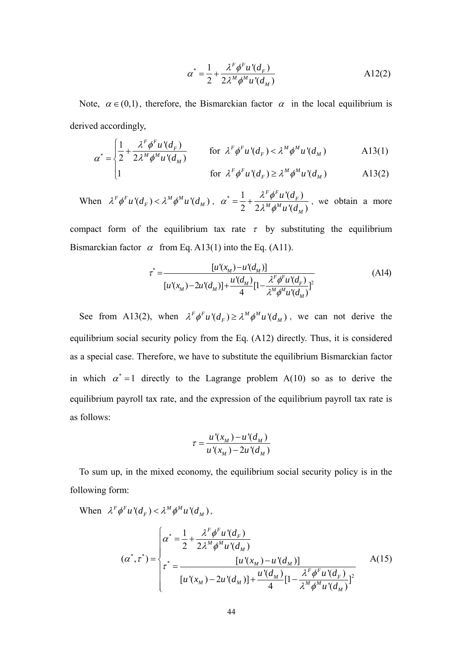$$
\alpha^* = \frac{1}{2} + \frac{\lambda^F \phi^F u^*(d_F)}{2\lambda^M \phi^M u^*(d_M)}
$$
 A12(2)

Note,  $\alpha \in (0,1)$ , therefore, the Bismarckian factor  $\alpha$  in the local equilibrium is derived accordingly,

$$
\alpha^* = \begin{cases} \frac{1}{2} + \frac{\lambda^F \phi^F u'(d_F)}{2\lambda^M \phi^M u'(d_M)} & \text{for } \lambda^F \phi^F u'(d_F) < \lambda^M \phi^M u'(d_M) \\ 1 & \text{for } \lambda^F \phi^F u'(d_F) \ge \lambda^M \phi^M u'(d_M) \end{cases}
$$
 A13(1)

$$
\left|1\right\rangle \qquad \qquad \text{for } \lambda^F \phi^F u^{\prime}(d_F) \geq \lambda^M \phi^M u^{\prime}(d_M) \qquad \qquad \text{A13(2)}
$$

When  $\lambda^F \phi^F u^{\dagger} (d_F) < \lambda^M \phi^M u^{\dagger} (d_M)$ ,  $\alpha^* = \frac{1}{2} + \frac{\lambda^F \phi^F u^{\dagger} (d_F)}{2 \lambda^M \phi^M u^{\dagger} (d_M)}$  $F \nightharpoonup F$ *F M M M u d u d*  $\alpha^* = \frac{1}{1} + \frac{\lambda^r \phi}{r}$  $\lambda^{\scriptscriptstyle{M}}\phi$  $=\frac{1}{2} + \frac{\lambda \psi}{2 \lambda M M M}$  we obtain a more

compact form of the equilibrium tax rate  $\tau$  by substituting the equilibrium Bismarckian factor  $\alpha$  from Eq. A13(1) into the Eq. (A11).

$$
\tau^* = \frac{[u'(x_M) - u'(d_M)]}{[u'(x_M) - 2u'(d_M)] + \frac{u'(d_M)}{4} [1 - \frac{\lambda^F \phi^F u'(d_F)}{\lambda^M \phi^M u'(d_M)}]^2}
$$
(A14)

See from A13(2), when  $\lambda^F \phi^F u^{\dagger} (d_F) \geq \lambda^M \phi^M u^{\dagger} (d_M)$ , we can not derive the equilibrium social security policy from the Eq. (A12) directly. Thus, it is considered as a special case. Therefore, we have to substitute the equilibrium Bismarckian factor in which  $\alpha^* = 1$  directly to the Lagrange problem A(10) so as to derive the equilibrium payroll tax rate, and the expression of the equilibrium payroll tax rate is as follows:

$$
\tau = \frac{u'(x_M) - u'(d_M)}{u'(x_M) - 2u'(d_M)}
$$

To sum up, in the mixed economy, the equilibrium social security policy is in the following form:

When 
$$
\lambda^F \phi^F u^{\dagger} (d_F) < \lambda^M \phi^M u^{\dagger} (d_M)
$$
,  
\n
$$
(\alpha^*, \tau^*) = \begin{cases}\n\alpha^* = \frac{1}{2} + \frac{\lambda^F \phi^F u^{\dagger} (d_F)}{2 \lambda^M \phi^M u^{\dagger} (d_M)} \\
\tau^* = \frac{[u^{\dagger} (x_M) - u^{\dagger} (d_M)]}{[u^{\dagger} (x_M) - 2u^{\dagger} (d_M)] + \frac{u^{\dagger} (d_M)}{4} [1 - \frac{\lambda^F \phi^F u^{\dagger} (d_F)}{\lambda^M \phi^M u^{\dagger} (d_M)}]^2}\n\end{cases}
$$
\nA(15)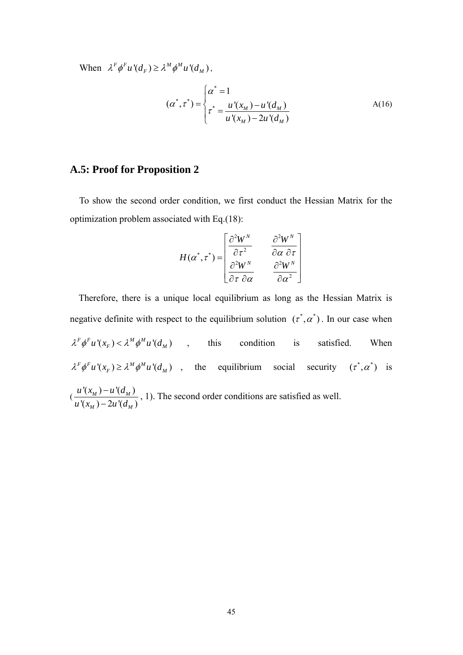When  $\lambda^F \phi^F u^{\mathsf{T}}(d_F) \geq \lambda^M \phi^M u^{\mathsf{T}}(d_M)$ ,

$$
(\alpha^*, \tau^*) = \begin{cases} \alpha^* = 1\\ \tau^* = \frac{u'(x_M) - u'(d_M)}{u'(x_M) - 2u'(d_M)} \end{cases}
$$
 A(16)

# **A.5: Proof for Proposition 2**

To show the second order condition, we first conduct the Hessian Matrix for the optimization problem associated with Eq.(18):

$$
H(\alpha^*, \tau^*) = \begin{bmatrix} \frac{\partial^2 W^N}{\partial \tau^2} & \frac{\partial^2 W^N}{\partial \alpha \partial \tau} \\ \frac{\partial^2 W^N}{\partial \tau \partial \alpha} & \frac{\partial^2 W^N}{\partial \alpha^2} \end{bmatrix}
$$

Therefore, there is a unique local equilibrium as long as the Hessian Matrix is negative definite with respect to the equilibrium solution  $(\tau^*, \alpha^*)$ . In our case when  $\lambda^F \phi^F u'(x_F) < \lambda^M \phi^M u'(d_M)$ , this condition is satisfied. When  $\lambda^F \phi^F u'(x) \ge \lambda^M \phi^M u'(d_M)$ , the equilibrium social security  $(\tau^*, \alpha^*)$  is  $\frac{u'(x_M) - u'(d_M)}{u(x_M) - u'(d_M)}$  $'(x_{M}) - 2u'(d_{M})$  $_M$ )  $\mu$   $\mu$ <sub>*M*</sub>  $_M$   $\mu$   $\mu$   $\mu$  $u'(x_{M}) - u'(d)$  $u'(x_{M}) - 2u'(d)$  $\frac{(-u'(d_M))}{(-2u'(d_M)}, 1)$ . The second order conditions are satisfied as well.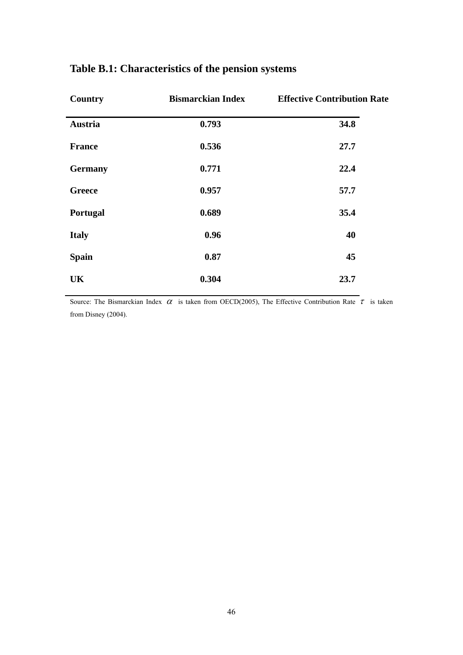| Country        | <b>Bismarckian Index</b> | <b>Effective Contribution Rate</b> |
|----------------|--------------------------|------------------------------------|
| Austria        | 0.793                    | 34.8                               |
| <b>France</b>  | 0.536                    | 27.7                               |
| <b>Germany</b> | 0.771                    | 22.4                               |
| <b>Greece</b>  | 0.957                    | 57.7                               |
| Portugal       | 0.689                    | 35.4                               |
| <b>Italy</b>   | 0.96                     | 40                                 |
| <b>Spain</b>   | 0.87                     | 45                                 |
| UK             | 0.304                    | 23.7                               |
|                |                          |                                    |

# **Table B.1: Characteristics of the pension systems**

Source: The Bismarckian Index  $\alpha$  is taken from OECD(2005), The Effective Contribution Rate  $\tau$  is taken from Disney (2004).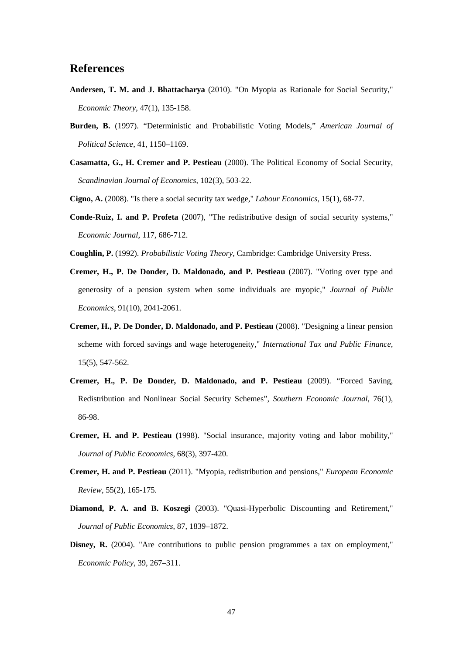### **References**

- **Andersen, T. M. and J. Bhattacharya** (2010). "On Myopia as Rationale for Social Security," *Economic Theory*, 47(1), 135-158.
- **Burden, B.** (1997). "Deterministic and Probabilistic Voting Models," *American Journal of Political Science*, 41, 1150–1169.
- **Casamatta, G., H. Cremer and P. Pestieau** (2000). The Political Economy of Social Security, *Scandinavian Journal of Economics*, 102(3), 503-22.
- **Cigno, A.** (2008). "Is there a social security tax wedge," *Labour Economics*, 15(1), 68-77.
- **Conde-Ruiz, I. and P. Profeta** (2007), "The redistributive design of social security systems," *Economic Journal*, 117, 686-712.
- **Coughlin, P.** (1992). *Probabilistic Voting Theory*, Cambridge: Cambridge University Press.
- **Cremer, H., P. De Donder, D. Maldonado, and P. Pestieau** (2007). "Voting over type and generosity of a pension system when some individuals are myopic," *Journal of Public Economics*, 91(10), 2041-2061.
- **Cremer, H., P. De Donder, D. Maldonado, and P. Pestieau** (2008). "Designing a linear pension scheme with forced savings and wage heterogeneity," *International Tax and Public Finance*, 15(5), 547-562.
- **Cremer, H., P. De Donder, D. Maldonado, and P. Pestieau** (2009). "Forced Saving, Redistribution and Nonlinear Social Security Schemes", *Southern Economic Journal*, 76(1), 86-98.
- **Cremer, H. and P. Pestieau (**1998). "Social insurance, majority voting and labor mobility," *Journal of Public Economics*, 68(3), 397-420.
- **Cremer, H. and P. Pestieau** (2011). "Myopia, redistribution and pensions," *European Economic Review*, 55(2), 165-175.
- **Diamond, P. A. and B. Koszegi** (2003). "Quasi-Hyperbolic Discounting and Retirement," *Journal of Public Economics*, 87, 1839–1872.
- **Disney, R.** (2004). "Are contributions to public pension programmes a tax on employment," *Economic Policy,* 39, 267–311.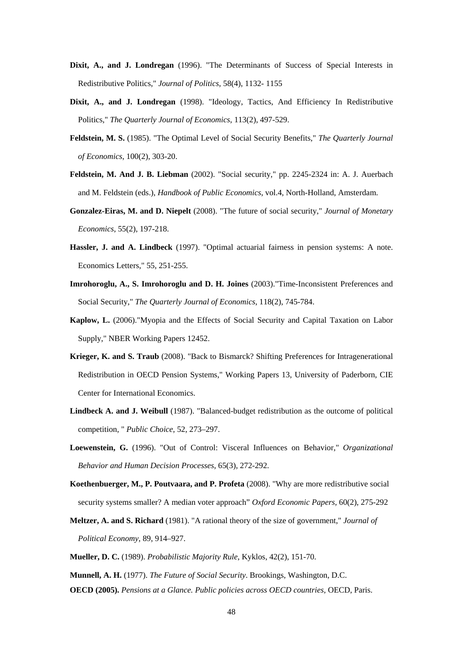- **Dixit, A., and J. Londregan** (1996). "The Determinants of Success of Special Interests in Redistributive Politics," *Journal of Politics*, 58(4), 1132- 1155
- **Dixit, A., and J. Londregan** (1998). "Ideology, Tactics, And Efficiency In Redistributive Politics," *The Quarterly Journal of Economics*, 113(2), 497-529.
- **Feldstein, M. S.** (1985). "The Optimal Level of Social Security Benefits," *The Quarterly Journal of Economics*, 100(2), 303-20.
- **Feldstein, M. And J. B. Liebman** (2002). "Social security," pp. 2245-2324 in: A. J. Auerbach and M. Feldstein (eds.), *Handbook of Public Economics*, vol.4, North-Holland, Amsterdam.
- **Gonzalez-Eiras, M. and D. Niepelt** (2008). "The future of social security," *Journal of Monetary Economics*, 55(2), 197-218.
- **Hassler, J. and A. Lindbeck** (1997). "Optimal actuarial fairness in pension systems: A note. Economics Letters," 55, 251-255.
- **Imrohoroglu, A., S. Imrohoroglu and D. H. Joines** (2003)."Time-Inconsistent Preferences and Social Security," *The Quarterly Journal of Economics*, 118(2), 745-784.
- **Kaplow, L.** (2006)."Myopia and the Effects of Social Security and Capital Taxation on Labor Supply," NBER Working Papers 12452.
- **Krieger, K. and S. Traub** (2008). "Back to Bismarck? Shifting Preferences for Intragenerational Redistribution in OECD Pension Systems," Working Papers 13, University of Paderborn, CIE Center for International Economics.
- **Lindbeck A. and J. Weibull** (1987). "Balanced-budget redistribution as the outcome of political competition, " *Public Choice*, 52, 273–297.
- **Loewenstein, G.** (1996). "Out of Control: Visceral Influences on Behavior," *Organizational Behavior and Human Decision Processes*, 65(3), 272-292.
- **Koethenbuerger, M., P. Poutvaara, and P. Profeta** (2008). "Why are more redistributive social security systems smaller? A median voter approach" *Oxford Economic Papers,* 60(2), 275-292
- **Meltzer, A. and S. Richard** (1981). "A rational theory of the size of government," *Journal of Political Economy*, 89, 914–927.
- **Mueller, D. C.** (1989). *Probabilistic Majority Rule*, Kyklos, 42(2), 151-70.
- **Munnell, A. H.** (1977). *The Future of Social Security*. Brookings, Washington, D.C. **OECD (2005).** *Pensions at a Glance. Public policies across OECD countries,* OECD, Paris.